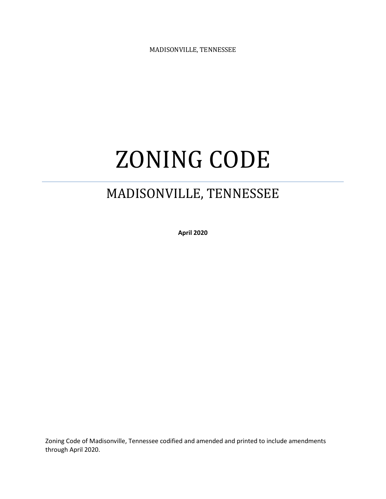MADISONVILLE, TENNESSEE

# ZONING CODE

# MADISONVILLE, TENNESSEE

**April 2020**

Zoning Code of Madisonville, Tennessee codified and amended and printed to include amendments through April 2020.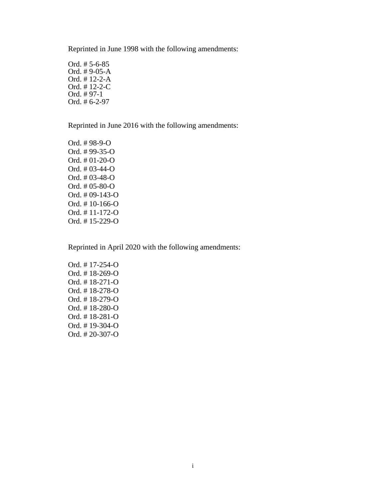Reprinted in June 1998 with the following amendments:

Ord. # 5-6-85 Ord. # 9-05-A Ord. # 12-2-A Ord. # 12-2-C Ord. # 97-1 Ord. # 6-2-97

Reprinted in June 2016 with the following amendments:

Ord. # 98-9-O Ord. # 99-35-O Ord. # 01-20-O Ord. # 03-44-O Ord. # 03-48-O Ord. # 05-80-O Ord. # 09-143-O Ord. # 10-166-O Ord. # 11-172-O Ord. # 15-229-O

Reprinted in April 2020 with the following amendments:

Ord. # 17-254-O Ord. # 18-269-O Ord. # 18-271-O Ord. # 18-278-O Ord. # 18-279-O Ord. # 18-280-O Ord. # 18-281-O Ord. # 19-304-O Ord. # 20-307-O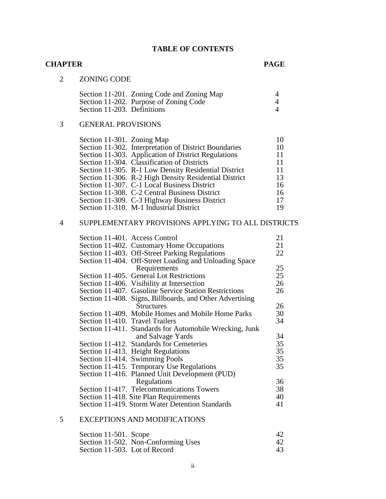#### **TABLE OF CONTENTS**

#### **CHAPTER PAGE**

# 2 ZONING CODE

|                             | Section 11-201. Zoning Code and Zoning Map |  |
|-----------------------------|--------------------------------------------|--|
|                             | Section 11-202. Purpose of Zoning Code     |  |
| Section 11-203. Definitions |                                            |  |

# 3 GENERAL PROVISIONS

| Section 11-301. Zoning Map |                                                       | 10 |
|----------------------------|-------------------------------------------------------|----|
|                            | Section 11-302. Interpretation of District Boundaries | 10 |
|                            | Section 11-303. Application of District Regulations   | 11 |
|                            | Section 11-304. Classification of Districts           | 11 |
|                            | Section 11-305. R-1 Low Density Residential District  | 11 |
|                            | Section 11-306. R-2 High Density Residential District | 13 |
|                            | Section 11-307. C-1 Local Business District           | 16 |
|                            | Section 11-308. C-2 Central Business District         | 16 |
|                            | Section 11-309. C-3 Highway Business District         | 17 |
|                            | Section 11-310. M-1 Industrial District               | 19 |

# 4 SUPPLEMENTARY PROVISIONS APPLYING TO ALL DISTRICTS

| Section 11-401. Access Control  |                                                          | 21 |
|---------------------------------|----------------------------------------------------------|----|
|                                 | Section 11-402. Customary Home Occupations               | 21 |
|                                 | Section 11-403. Off-Street Parking Regulations           | 22 |
|                                 | Section 11-404. Off-Street Loading and Unloading Space   |    |
|                                 | Requirements                                             | 25 |
|                                 | Section 11-405. General Lot Restrictions                 | 25 |
|                                 | Section 11-406. Visibility at Intersection               | 26 |
|                                 | Section 11-407. Gasoline Service Station Restrictions    | 26 |
|                                 | Section 11-408. Signs, Billboards, and Other Advertising |    |
|                                 | <b>Structures</b>                                        | 26 |
|                                 | Section 11-409. Mobile Homes and Mobile Home Parks       | 30 |
| Section 11-410. Travel Trailers |                                                          | 34 |
|                                 | Section 11-411. Standards for Automobile Wrecking, Junk  |    |
|                                 | and Salvage Yards                                        | 34 |
|                                 | Section 11-412. Standards for Cemeteries                 | 35 |
|                                 | Section 11-413. Height Regulations                       | 35 |
|                                 | Section 11-414. Swimming Pools                           | 35 |
|                                 | Section 11-415. Temporary Use Regulations                | 35 |
|                                 | Section 11-416. Planned Unit Development (PUD)           |    |
|                                 | Regulations                                              | 36 |
|                                 | Section 11-417. Telecommunications Towers                | 38 |
|                                 | Section 11-418. Site Plan Requirements                   | 40 |
|                                 | Section 11-419. Storm Water Detention Standards          | 41 |
|                                 |                                                          |    |

# 5 EXCEPTIONS AND MODIFICATIONS

| Section 11-501. Scope         |                                     | $\Delta'$ |
|-------------------------------|-------------------------------------|-----------|
|                               | Section 11-502. Non-Conforming Uses | $\Delta$  |
| Section 11-503. Lot of Record |                                     | 43        |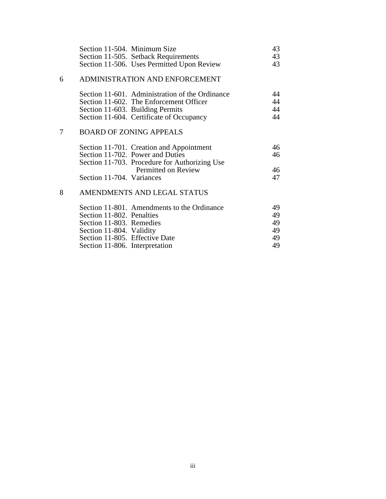|   | Section 11-504. Minimum Size<br>Section 11-505. Setback Requirements<br>Section 11-506. Uses Permitted Upon Review | 43<br>43<br>43 |
|---|--------------------------------------------------------------------------------------------------------------------|----------------|
| 6 | ADMINISTRATION AND ENFORCEMENT                                                                                     |                |

#### Section 11-601. Administration of the Ordinance 44 Section 11-602. The Enforcement Officer 44 Section 11-603. Building Permits 44 Section 11-604. Certificate of Occupancy 44

# 7 BOARD OF ZONING APPEALS

|                           | Section 11-701. Creation and Appointment      | 46 |
|---------------------------|-----------------------------------------------|----|
|                           | Section 11-702. Power and Duties              | 46 |
|                           | Section 11-703. Procedure for Authorizing Use |    |
|                           | Permitted on Review                           | 46 |
| Section 11-704. Variances |                                               | 47 |

# 8 AMENDMENTS AND LEGAL STATUS

|                                | Section 11-801. Amendments to the Ordinance | 49 |
|--------------------------------|---------------------------------------------|----|
| Section 11-802. Penalties      |                                             | 49 |
| Section 11-803. Remedies       |                                             | 49 |
| Section 11-804. Validity       |                                             | 49 |
| Section 11-805. Effective Date |                                             | 49 |
| Section 11-806. Interpretation |                                             | 49 |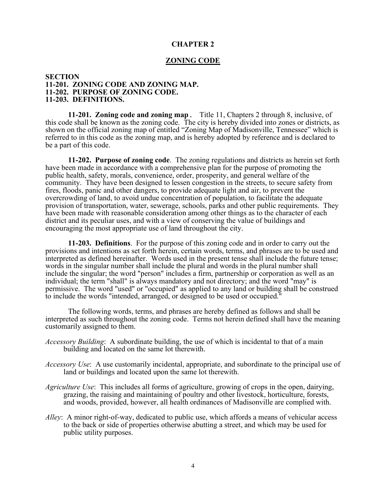#### **CHAPTER 2**

#### **ZONING CODE**

#### **SECTION 11-201. ZONING CODE AND ZONING MAP. 11-202. PURPOSE OF ZONING CODE. 11-203. DEFINITIONS.**

**11-201. Zoning code and zoning map**. Title 11, Chapters 2 through 8, inclusive, of this code shall be known as the zoning code. The city is hereby divided into zones or districts, as shown on the official zoning map of entitled "Zoning Map of Madisonville, Tennessee" which is referred to in this code as the zoning map, and is hereby adopted by reference and is declared to be a part of this code.

**11-202. Purpose of zoning code**. The zoning regulations and districts as herein set forth have been made in accordance with a comprehensive plan for the purpose of promoting the public health, safety, morals, convenience, order, prosperity, and general welfare of the community. They have been designed to lessen congestion in the streets, to secure safety from fires, floods, panic and other dangers, to provide adequate light and air, to prevent the overcrowding of land, to avoid undue concentration of population, to facilitate the adequate provision of transportation, water, sewerage, schools, parks and other public requirements. They have been made with reasonable consideration among other things as to the character of each district and its peculiar uses, and with a view of conserving the value of buildings and encouraging the most appropriate use of land throughout the city.

**11-203. Definitions**. For the purpose of this zoning code and in order to carry out the provisions and intentions as set forth herein, certain words, terms, and phrases are to be used and interpreted as defined hereinafter. Words used in the present tense shall include the future tense; words in the singular number shall include the plural and words in the plural number shall include the singular; the word "person" includes a firm, partnership or corporation as well as an individual; the term "shall" is always mandatory and not directory; and the word "may" is permissive. The word "used" or "occupied" as applied to any land or building shall be construed to include the words "intended, arranged, or designed to be used or occupied."

The following words, terms, and phrases are hereby defined as follows and shall be interpreted as such throughout the zoning code. Terms not herein defined shall have the meaning customarily assigned to them.

- *Accessory Building*: A subordinate building, the use of which is incidental to that of a main building and located on the same lot therewith.
- *Accessory Use*: A use customarily incidental, appropriate, and subordinate to the principal use of land or buildings and located upon the same lot therewith.
- *Agriculture Use*: This includes all forms of agriculture, growing of crops in the open, dairying, grazing, the raising and maintaining of poultry and other livestock, horticulture, forests, and woods, provided, however, all health ordinances of Madisonville are complied with.
- *Alley*: A minor right-of-way, dedicated to public use, which affords a means of vehicular access to the back or side of properties otherwise abutting a street, and which may be used for public utility purposes.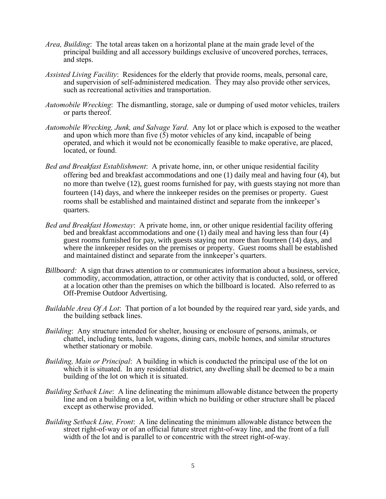- *Area, Building*: The total areas taken on a horizontal plane at the main grade level of the principal building and all accessory buildings exclusive of uncovered porches, terraces, and steps.
- *Assisted Living Facility*: Residences for the elderly that provide rooms, meals, personal care, and supervision of self-administered medication. They may also provide other services, such as recreational activities and transportation.
- *Automobile Wrecking*: The dismantling, storage, sale or dumping of used motor vehicles, trailers or parts thereof.
- *Automobile Wrecking, Junk, and Salvage Yard*. Any lot or place which is exposed to the weather and upon which more than five  $(5)$  motor vehicles of any kind, incapable of being operated, and which it would not be economically feasible to make operative, are placed, located, or found.
- *Bed and Breakfast Establishment*: A private home, inn, or other unique residential facility offering bed and breakfast accommodations and one (1) daily meal and having four (4), but no more than twelve (12), guest rooms furnished for pay, with guests staying not more than fourteen (14) days, and where the innkeeper resides on the premises or property. Guest rooms shall be established and maintained distinct and separate from the innkeeper's quarters.
- *Bed and Breakfast Homestay*: A private home, inn, or other unique residential facility offering bed and breakfast accommodations and one (1) daily meal and having less than four (4) guest rooms furnished for pay, with guests staying not more than fourteen (14) days, and where the innkeeper resides on the premises or property. Guest rooms shall be established and maintained distinct and separate from the innkeeper's quarters.
- *Billboard:* A sign that draws attention to or communicates information about a business, service, commodity, accommodation, attraction, or other activity that is conducted, sold, or offered at a location other than the premises on which the billboard is located. Also referred to as Off-Premise Outdoor Advertising.
- *Buildable Area Of A Lot*: That portion of a lot bounded by the required rear yard, side yards, and the building setback lines.
- *Building*: Any structure intended for shelter, housing or enclosure of persons, animals, or chattel, including tents, lunch wagons, dining cars, mobile homes, and similar structures whether stationary or mobile.
- *Building, Main or Principal*: A building in which is conducted the principal use of the lot on which it is situated. In any residential district, any dwelling shall be deemed to be a main building of the lot on which it is situated.
- *Building Setback Line*: A line delineating the minimum allowable distance between the property line and on a building on a lot, within which no building or other structure shall be placed except as otherwise provided.
- *Building Setback Line, Front*: A line delineating the minimum allowable distance between the street right-of-way or of an official future street right-of-way line, and the front of a full width of the lot and is parallel to or concentric with the street right-of-way.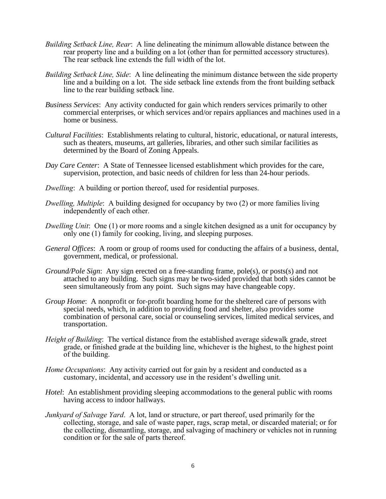- *Building Setback Line, Rear*: A line delineating the minimum allowable distance between the rear property line and a building on a lot (other than for permitted accessory structures). The rear setback line extends the full width of the lot.
- *Building Setback Line, Side*: A line delineating the minimum distance between the side property line and a building on a lot. The side setback line extends from the front building setback line to the rear building setback line.
- *Business Services*: Any activity conducted for gain which renders services primarily to other commercial enterprises, or which services and/or repairs appliances and machines used in a home or business.
- *Cultural Facilities*: Establishments relating to cultural, historic, educational, or natural interests, such as theaters, museums, art galleries, libraries, and other such similar facilities as determined by the Board of Zoning Appeals.
- *Day Care Center*: A State of Tennessee licensed establishment which provides for the care, supervision, protection, and basic needs of children for less than 24-hour periods.
- *Dwelling*: A building or portion thereof, used for residential purposes.
- *Dwelling, Multiple*: A building designed for occupancy by two (2) or more families living independently of each other.
- *Dwelling Unit*: One (1) or more rooms and a single kitchen designed as a unit for occupancy by only one (1) family for cooking, living, and sleeping purposes.
- *General Offices*: A room or group of rooms used for conducting the affairs of a business, dental, government, medical, or professional.
- *Ground/Pole Sign*: Any sign erected on a free-standing frame, pole(s), or posts(s) and not attached to any building. Such signs may be two-sided provided that both sides cannot be seen simultaneously from any point. Such signs may have changeable copy.
- *Group Home*: A nonprofit or for-profit boarding home for the sheltered care of persons with special needs, which, in addition to providing food and shelter, also provides some combination of personal care, social or counseling services, limited medical services, and transportation.
- *Height of Building*: The vertical distance from the established average sidewalk grade, street grade, or finished grade at the building line, whichever is the highest, to the highest point of the building.
- *Home Occupations*: Any activity carried out for gain by a resident and conducted as a customary, incidental, and accessory use in the resident's dwelling unit.
- *Hotel*: An establishment providing sleeping accommodations to the general public with rooms having access to indoor hallways.
- *Junkyard of Salvage Yard*. A lot, land or structure, or part thereof, used primarily for the collecting, storage, and sale of waste paper, rags, scrap metal, or discarded material; or for the collecting, dismantling, storage, and salvaging of machinery or vehicles not in running condition or for the sale of parts thereof.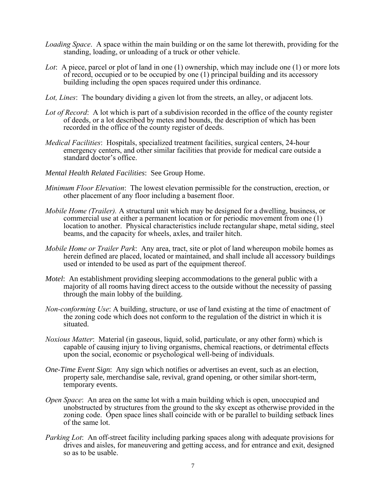- *Loading Space*. A space within the main building or on the same lot therewith, providing for the standing, loading, or unloading of a truck or other vehicle.
- *Lot*: A piece, parcel or plot of land in one (1) ownership, which may include one (1) or more lots of record, occupied or to be occupied by one (1) principal building and its accessory building including the open spaces required under this ordinance.
- *Lot, Lines*: The boundary dividing a given lot from the streets, an alley, or adjacent lots.
- *Lot of Record*: A lot which is part of a subdivision recorded in the office of the county register of deeds, or a lot described by metes and bounds, the description of which has been recorded in the office of the county register of deeds.
- *Medical Facilities*: Hospitals, specialized treatment facilities, surgical centers, 24-hour emergency centers, and other similar facilities that provide for medical care outside a standard doctor's office.
- *Mental Health Related Facilities*: See Group Home.
- *Minimum Floor Elevation*: The lowest elevation permissible for the construction, erection, or other placement of any floor including a basement floor.
- *Mobile Home (Trailer).* A structural unit which may be designed for a dwelling, business, or commercial use at either a permanent location or for periodic movement from one (1) location to another. Physical characteristics include rectangular shape, metal siding, steel beams, and the capacity for wheels, axles, and trailer hitch.
- *Mobile Home or Trailer Park*: Any area, tract, site or plot of land whereupon mobile homes as herein defined are placed, located or maintained, and shall include all accessory buildings used or intended to be used as part of the equipment thereof.
- *Motel*: An establishment providing sleeping accommodations to the general public with a majority of all rooms having direct access to the outside without the necessity of passing through the main lobby of the building.
- *Non-conforming Use*: A building, structure, or use of land existing at the time of enactment of the zoning code which does not conform to the regulation of the district in which it is situated.
- *Noxious Matter*: Material (in gaseous, liquid, solid, particulate, or any other form) which is capable of causing injury to living organisms, chemical reactions, or detrimental effects upon the social, economic or psychological well-being of individuals.
- *One-Time Event Sign*: Any sign which notifies or advertises an event, such as an election, property sale, merchandise sale, revival, grand opening, or other similar short-term, temporary events.
- *Open Space*: An area on the same lot with a main building which is open, unoccupied and unobstructed by structures from the ground to the sky except as otherwise provided in the zoning code. Open space lines shall coincide with or be parallel to building setback lines of the same lot.
- *Parking Lot*: An off-street facility including parking spaces along with adequate provisions for drives and aisles, for maneuvering and getting access, and for entrance and exit, designed so as to be usable.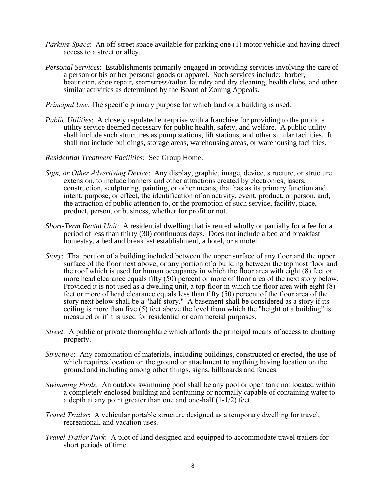- *Parking Space*: An off-street space available for parking one (1) motor vehicle and having direct access to a street or alley.
- *Personal Services*: Establishments primarily engaged in providing services involving the care of a person or his or her personal goods or apparel. Such services include: barber, beautician, shoe repair, seamstress/tailor, laundry and dry cleaning, health clubs, and other similar activities as determined by the Board of Zoning Appeals.
- *Principal Use.* The specific primary purpose for which land or a building is used.
- *Public Utilities*: A closely regulated enterprise with a franchise for providing to the public a utility service deemed necessary for public health, safety, and welfare. A public utility shall include such structures as pump stations, lift stations, and other similar facilities. It shall not include buildings, storage areas, warehousing areas, or warehousing facilities.
- *Residential Treatment Facilities*: See Group Home.
- *Sign, or Other Advertising Device*: Any display, graphic, image, device, structure, or structure extension, to include banners and other attractions created by electronics, lasers, construction, sculpturing, painting, or other means, that has as its primary function and intent, purpose, or effect, the identification of an activity, event, product, or person, and, the attraction of public attention to, or the promotion of such service, facility, place, product, person, or business, whether for profit or not.
- *Short-Term Rental Unit*: A residential dwelling that is rented wholly or partially for a fee for a period of less than thirty (30) continuous days. Does not include a bed and breakfast homestay, a bed and breakfast establishment, a hotel, or a motel.
- *Story*: That portion of a building included between the upper surface of any floor and the upper surface of the floor next above; or any portion of a building between the topmost floor and the roof which is used for human occupancy in which the floor area with eight (8) feet or more head clearance equals fifty (50) percent or more of floor area of the next story below. Provided it is not used as a dwelling unit, a top floor in which the floor area with eight (8) feet or more of head clearance equals less than fifty (50) percent of the floor area of the story next below shall be a "half-story." A basement shall be considered as a story if its ceiling is more than five (5) feet above the level from which the "height of a building" is measured or if it is used for residential or commercial purposes.
- *Street*. A public or private thoroughfare which affords the principal means of access to abutting property.
- *Structure*: Any combination of materials, including buildings, constructed or erected, the use of which requires location on the ground or attachment to anything having location on the ground and including among other things, signs, billboards and fences.
- *Swimming Pools*: An outdoor swimming pool shall be any pool or open tank not located within a completely enclosed building and containing or normally capable of containing water to a depth at any point greater than one and one-half (1-1/2) feet.
- *Travel Trailer*: A vehicular portable structure designed as a temporary dwelling for travel, recreational, and vacation uses.
- *Travel Trailer Park*: A plot of land designed and equipped to accommodate travel trailers for short periods of time.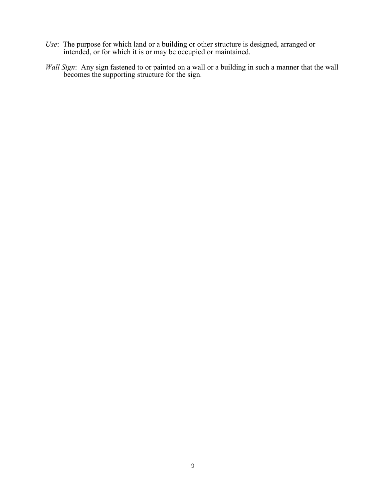- *Use*: The purpose for which land or a building or other structure is designed, arranged or intended, or for which it is or may be occupied or maintained.
- *Wall Sign*: Any sign fastened to or painted on a wall or a building in such a manner that the wall becomes the supporting structure for the sign.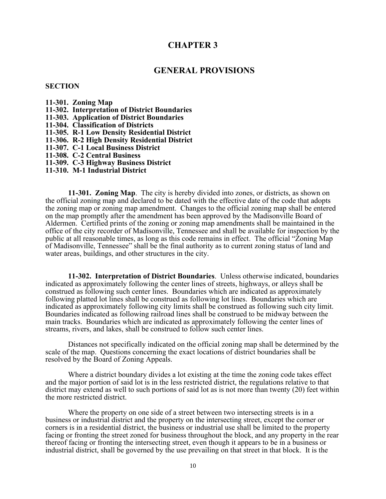# **CHAPTER 3**

# **GENERAL PROVISIONS**

#### **SECTION**

- **11-301. Zoning Map**
- **11-302. Interpretation of District Boundaries**
- **11-303. Application of District Boundaries**
- **11-304. Classification of Districts**
- **11-305. R-1 Low Density Residential District**
- **11-306. R-2 High Density Residential District**
- **11-307. C-1 Local Business District**
- **11-308. C-2 Central Business**
- **11-309. C-3 Highway Business District**
- **11-310. M-1 Industrial District**

**11-301. Zoning Map**. The city is hereby divided into zones, or districts, as shown on the official zoning map and declared to be dated with the effective date of the code that adopts the zoning map or zoning map amendment. Changes to the official zoning map shall be entered on the map promptly after the amendment has been approved by the Madisonville Board of Aldermen. Certified prints of the zoning or zoning map amendments shall be maintained in the office of the city recorder of Madisonville, Tennessee and shall be available for inspection by the public at all reasonable times, as long as this code remains in effect. The official "Zoning Map of Madisonville, Tennessee" shall be the final authority as to current zoning status of land and water areas, buildings, and other structures in the city.

**11-302. Interpretation of District Boundaries**. Unless otherwise indicated, boundaries indicated as approximately following the center lines of streets, highways, or alleys shall be construed as following such center lines. Boundaries which are indicated as approximately following platted lot lines shall be construed as following lot lines. Boundaries which are indicated as approximately following city limits shall be construed as following such city limit. Boundaries indicated as following railroad lines shall be construed to be midway between the main tracks. Boundaries which are indicated as approximately following the center lines of streams, rivers, and lakes, shall be construed to follow such center lines.

Distances not specifically indicated on the official zoning map shall be determined by the scale of the map. Questions concerning the exact locations of district boundaries shall be resolved by the Board of Zoning Appeals.

Where a district boundary divides a lot existing at the time the zoning code takes effect and the major portion of said lot is in the less restricted district, the regulations relative to that district may extend as well to such portions of said lot as is not more than twenty (20) feet within the more restricted district.

Where the property on one side of a street between two intersecting streets is in a business or industrial district and the property on the intersecting street, except the corner or corners is in a residential district, the business or industrial use shall be limited to the property facing or fronting the street zoned for business throughout the block, and any property in the rear thereof facing or fronting the intersecting street, even though it appears to be in a business or industrial district, shall be governed by the use prevailing on that street in that block. It is the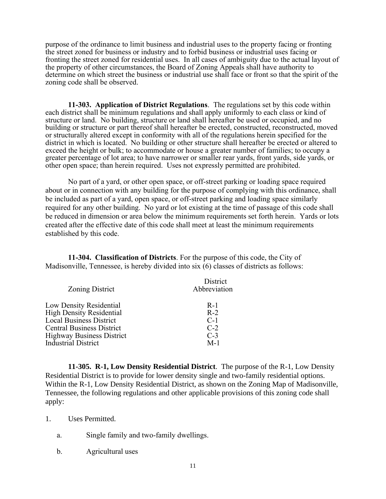purpose of the ordinance to limit business and industrial uses to the property facing or fronting the street zoned for business or industry and to forbid business or industrial uses facing or fronting the street zoned for residential uses. In all cases of ambiguity due to the actual layout of the property of other circumstances, the Board of Zoning Appeals shall have authority to determine on which street the business or industrial use shall face or front so that the spirit of the zoning code shall be observed.

**11-303. Application of District Regulations**. The regulations set by this code within each district shall be minimum regulations and shall apply uniformly to each class or kind of structure or land. No building, structure or land shall hereafter be used or occupied, and no building or structure or part thereof shall hereafter be erected, constructed, reconstructed, moved or structurally altered except in conformity with all of the regulations herein specified for the district in which is located. No building or other structure shall hereafter be erected or altered to exceed the height or bulk; to accommodate or house a greater number of families; to occupy a greater percentage of lot area; to have narrower or smaller rear yards, front yards, side yards, or other open space; than herein required. Uses not expressly permitted are prohibited.

No part of a yard, or other open space, or off-street parking or loading space required about or in connection with any building for the purpose of complying with this ordinance, shall be included as part of a yard, open space, or off-street parking and loading space similarly required for any other building. No yard or lot existing at the time of passage of this code shall be reduced in dimension or area below the minimum requirements set forth herein. Yards or lots created after the effective date of this code shall meet at least the minimum requirements established by this code.

**11-304. Classification of Districts**. For the purpose of this code, the City of Madisonville, Tennessee, is hereby divided into six (6) classes of districts as follows:

| Zoning District                  | <b>District</b><br>Abbreviation |
|----------------------------------|---------------------------------|
| Low Density Residential          | $R-1$                           |
| <b>High Density Residential</b>  | $R-2$                           |
| <b>Local Business District</b>   | $C-1$                           |
| <b>Central Business District</b> | $C-2$                           |
| <b>Highway Business District</b> | $C-3$                           |
| Industrial District              | $M-1$                           |
|                                  |                                 |

**11-305. R-1, Low Density Residential District**. The purpose of the R-1, Low Density Residential District is to provide for lower density single and two-family residential options. Within the R-1, Low Density Residential District, as shown on the Zoning Map of Madisonville, Tennessee, the following regulations and other applicable provisions of this zoning code shall apply:

1. Uses Permitted.

- a. Single family and two-family dwellings.
- b. Agricultural uses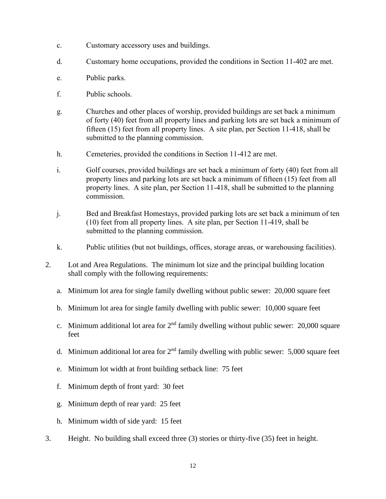- c. Customary accessory uses and buildings.
- d. Customary home occupations, provided the conditions in Section 11-402 are met.
- e. Public parks.
- f. Public schools.
- g. Churches and other places of worship, provided buildings are set back a minimum of forty (40) feet from all property lines and parking lots are set back a minimum of fifteen (15) feet from all property lines. A site plan, per Section 11-418, shall be submitted to the planning commission.
- h. Cemeteries, provided the conditions in Section 11-412 are met.
- i. Golf courses, provided buildings are set back a minimum of forty (40) feet from all property lines and parking lots are set back a minimum of fifteen (15) feet from all property lines. A site plan, per Section 11-418, shall be submitted to the planning commission.
- j. Bed and Breakfast Homestays, provided parking lots are set back a minimum of ten (10) feet from all property lines. A site plan, per Section 11-419, shall be submitted to the planning commission.
- k. Public utilities (but not buildings, offices, storage areas, or warehousing facilities).
- 2. Lot and Area Regulations. The minimum lot size and the principal building location shall comply with the following requirements:
	- a. Minimum lot area for single family dwelling without public sewer: 20,000 square feet
	- b. Minimum lot area for single family dwelling with public sewer: 10,000 square feet
	- c. Minimum additional lot area for  $2<sup>nd</sup>$  family dwelling without public sewer: 20,000 square feet
	- d. Minimum additional lot area for  $2<sup>nd</sup>$  family dwelling with public sewer: 5,000 square feet
	- e. Minimum lot width at front building setback line: 75 feet
	- f. Minimum depth of front yard: 30 feet
	- g. Minimum depth of rear yard: 25 feet
	- h. Minimum width of side yard: 15 feet
- 3. Height. No building shall exceed three (3) stories or thirty-five (35) feet in height.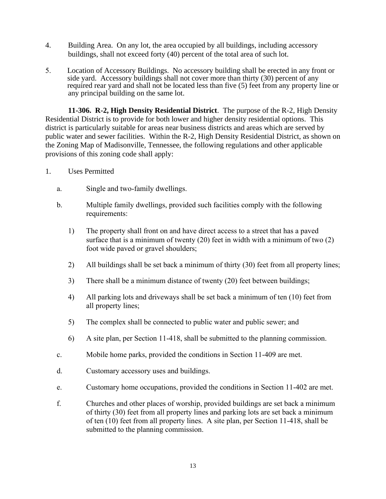- 4. Building Area. On any lot, the area occupied by all buildings, including accessory buildings, shall not exceed forty (40) percent of the total area of such lot.
- 5. Location of Accessory Buildings. No accessory building shall be erected in any front or side yard. Accessory buildings shall not cover more than thirty (30) percent of any required rear yard and shall not be located less than five (5) feet from any property line or any principal building on the same lot.

**11-306. R-2, High Density Residential District**. The purpose of the R-2, High Density Residential District is to provide for both lower and higher density residential options. This district is particularly suitable for areas near business districts and areas which are served by public water and sewer facilities. Within the R-2, High Density Residential District, as shown on the Zoning Map of Madisonville, Tennessee, the following regulations and other applicable provisions of this zoning code shall apply:

- 1. Uses Permitted
	- a. Single and two-family dwellings.
	- b. Multiple family dwellings, provided such facilities comply with the following requirements:
		- 1) The property shall front on and have direct access to a street that has a paved surface that is a minimum of twenty (20) feet in width with a minimum of two (2) foot wide paved or gravel shoulders;
		- 2) All buildings shall be set back a minimum of thirty (30) feet from all property lines;
		- 3) There shall be a minimum distance of twenty (20) feet between buildings;
		- 4) All parking lots and driveways shall be set back a minimum of ten (10) feet from all property lines;
		- 5) The complex shall be connected to public water and public sewer; and
		- 6) A site plan, per Section 11-418, shall be submitted to the planning commission.
	- c. Mobile home parks, provided the conditions in Section 11-409 are met.
	- d. Customary accessory uses and buildings.
	- e. Customary home occupations, provided the conditions in Section 11-402 are met.
	- f. Churches and other places of worship, provided buildings are set back a minimum of thirty (30) feet from all property lines and parking lots are set back a minimum of ten (10) feet from all property lines. A site plan, per Section 11-418, shall be submitted to the planning commission.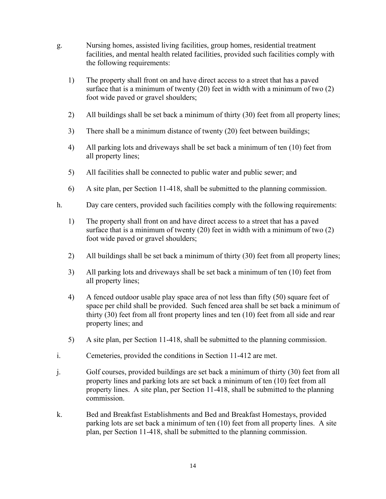- g. Nursing homes, assisted living facilities, group homes, residential treatment facilities, and mental health related facilities, provided such facilities comply with the following requirements:
	- 1) The property shall front on and have direct access to a street that has a paved surface that is a minimum of twenty (20) feet in width with a minimum of two (2) foot wide paved or gravel shoulders;
	- 2) All buildings shall be set back a minimum of thirty (30) feet from all property lines;
	- 3) There shall be a minimum distance of twenty (20) feet between buildings;
	- 4) All parking lots and driveways shall be set back a minimum of ten (10) feet from all property lines;
	- 5) All facilities shall be connected to public water and public sewer; and
	- 6) A site plan, per Section 11-418, shall be submitted to the planning commission.
- h. Day care centers, provided such facilities comply with the following requirements:
	- 1) The property shall front on and have direct access to a street that has a paved surface that is a minimum of twenty (20) feet in width with a minimum of two (2) foot wide paved or gravel shoulders;
	- 2) All buildings shall be set back a minimum of thirty (30) feet from all property lines;
	- 3) All parking lots and driveways shall be set back a minimum of ten (10) feet from all property lines;
	- 4) A fenced outdoor usable play space area of not less than fifty (50) square feet of space per child shall be provided. Such fenced area shall be set back a minimum of thirty (30) feet from all front property lines and ten (10) feet from all side and rear property lines; and
	- 5) A site plan, per Section 11-418, shall be submitted to the planning commission.
- i. Cemeteries, provided the conditions in Section 11-412 are met.
- j. Golf courses, provided buildings are set back a minimum of thirty (30) feet from all property lines and parking lots are set back a minimum of ten (10) feet from all property lines. A site plan, per Section 11-418, shall be submitted to the planning commission.
- k. Bed and Breakfast Establishments and Bed and Breakfast Homestays, provided parking lots are set back a minimum of ten (10) feet from all property lines. A site plan, per Section 11-418, shall be submitted to the planning commission.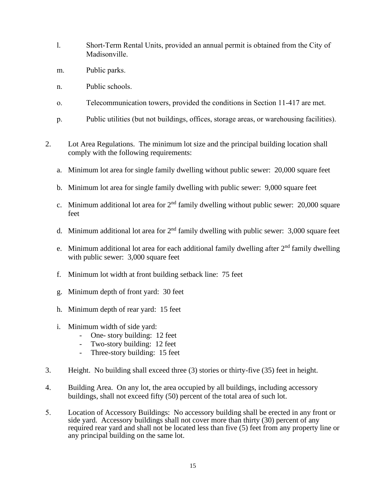- l. Short-Term Rental Units, provided an annual permit is obtained from the City of Madisonville.
- m. Public parks.
- n. Public schools.
- o. Telecommunication towers, provided the conditions in Section 11-417 are met.
- p. Public utilities (but not buildings, offices, storage areas, or warehousing facilities).
- 2. Lot Area Regulations. The minimum lot size and the principal building location shall comply with the following requirements:
	- a. Minimum lot area for single family dwelling without public sewer: 20,000 square feet
	- b. Minimum lot area for single family dwelling with public sewer: 9,000 square feet
	- c. Minimum additional lot area for  $2<sup>nd</sup>$  family dwelling without public sewer: 20,000 square feet
	- d. Minimum additional lot area for  $2<sup>nd</sup>$  family dwelling with public sewer: 3,000 square feet
	- e. Minimum additional lot area for each additional family dwelling after  $2<sup>nd</sup>$  family dwelling with public sewer: 3,000 square feet
	- f. Minimum lot width at front building setback line: 75 feet
	- g. Minimum depth of front yard: 30 feet
	- h. Minimum depth of rear yard: 15 feet
	- i. Minimum width of side yard:
		- One- story building: 12 feet
		- Two-story building: 12 feet
		- Three-story building: 15 feet
- 3. Height. No building shall exceed three (3) stories or thirty-five (35) feet in height.
- 4. Building Area. On any lot, the area occupied by all buildings, including accessory buildings, shall not exceed fifty (50) percent of the total area of such lot.
- 5. Location of Accessory Buildings: No accessory building shall be erected in any front or side yard. Accessory buildings shall not cover more than thirty (30) percent of any required rear yard and shall not be located less than five (5) feet from any property line or any principal building on the same lot.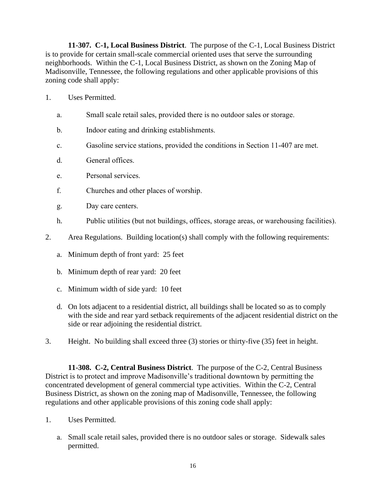**11-307. C-1, Local Business District**. The purpose of the C-1, Local Business District is to provide for certain small-scale commercial oriented uses that serve the surrounding neighborhoods. Within the C-1, Local Business District, as shown on the Zoning Map of Madisonville, Tennessee, the following regulations and other applicable provisions of this zoning code shall apply:

- 1. Uses Permitted.
	- a. Small scale retail sales, provided there is no outdoor sales or storage.
	- b. Indoor eating and drinking establishments.
	- c. Gasoline service stations, provided the conditions in Section 11-407 are met.
	- d. General offices.
	- e. Personal services.
	- f. Churches and other places of worship.
	- g. Day care centers.
	- h. Public utilities (but not buildings, offices, storage areas, or warehousing facilities).
- 2. Area Regulations. Building location(s) shall comply with the following requirements:
	- a. Minimum depth of front yard: 25 feet
	- b. Minimum depth of rear yard: 20 feet
	- c. Minimum width of side yard: 10 feet
	- d. On lots adjacent to a residential district, all buildings shall be located so as to comply with the side and rear yard setback requirements of the adjacent residential district on the side or rear adjoining the residential district.
- 3. Height. No building shall exceed three (3) stories or thirty-five (35) feet in height.

**11-308. C-2, Central Business District**. The purpose of the C-2, Central Business District is to protect and improve Madisonville's traditional downtown by permitting the concentrated development of general commercial type activities. Within the C-2, Central Business District, as shown on the zoning map of Madisonville, Tennessee, the following regulations and other applicable provisions of this zoning code shall apply:

- 1. Uses Permitted.
	- a. Small scale retail sales, provided there is no outdoor sales or storage. Sidewalk sales permitted.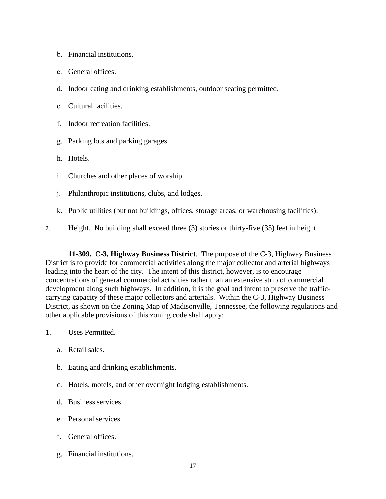- b. Financial institutions.
- c. General offices.
- d. Indoor eating and drinking establishments, outdoor seating permitted.
- e. Cultural facilities.
- f. Indoor recreation facilities.
- g. Parking lots and parking garages.
- h. Hotels.
- i. Churches and other places of worship.
- j. Philanthropic institutions, clubs, and lodges.
- k. Public utilities (but not buildings, offices, storage areas, or warehousing facilities).
- 2. Height. No building shall exceed three (3) stories or thirty-five (35) feet in height.

**11-309. C-3, Highway Business District**. The purpose of the C-3, Highway Business District is to provide for commercial activities along the major collector and arterial highways leading into the heart of the city. The intent of this district, however, is to encourage concentrations of general commercial activities rather than an extensive strip of commercial development along such highways. In addition, it is the goal and intent to preserve the trafficcarrying capacity of these major collectors and arterials. Within the C-3, Highway Business District, as shown on the Zoning Map of Madisonville, Tennessee, the following regulations and other applicable provisions of this zoning code shall apply:

- 1. Uses Permitted.
	- a. Retail sales.
	- b. Eating and drinking establishments.
	- c. Hotels, motels, and other overnight lodging establishments.
	- d. Business services.
	- e. Personal services.
	- f. General offices.
	- g. Financial institutions.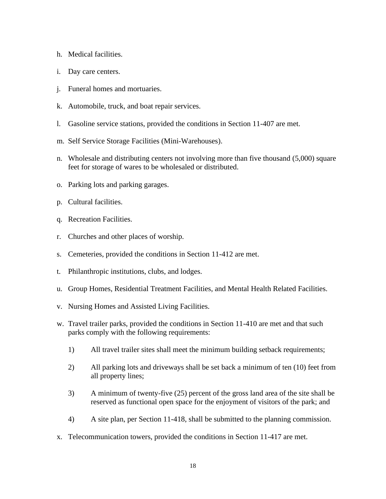- h. Medical facilities.
- i. Day care centers.
- j. Funeral homes and mortuaries.
- k. Automobile, truck, and boat repair services.
- l. Gasoline service stations, provided the conditions in Section 11-407 are met.
- m. Self Service Storage Facilities (Mini-Warehouses).
- n. Wholesale and distributing centers not involving more than five thousand (5,000) square feet for storage of wares to be wholesaled or distributed.
- o. Parking lots and parking garages.
- p. Cultural facilities.
- q. Recreation Facilities.
- r. Churches and other places of worship.
- s. Cemeteries, provided the conditions in Section 11-412 are met.
- t. Philanthropic institutions, clubs, and lodges.
- u. Group Homes, Residential Treatment Facilities, and Mental Health Related Facilities.
- v. Nursing Homes and Assisted Living Facilities.
- w. Travel trailer parks, provided the conditions in Section 11-410 are met and that such parks comply with the following requirements:
	- 1) All travel trailer sites shall meet the minimum building setback requirements;
	- 2) All parking lots and driveways shall be set back a minimum of ten (10) feet from all property lines;
	- 3) A minimum of twenty-five (25) percent of the gross land area of the site shall be reserved as functional open space for the enjoyment of visitors of the park; and
	- 4) A site plan, per Section 11-418, shall be submitted to the planning commission.
- x. Telecommunication towers, provided the conditions in Section 11-417 are met.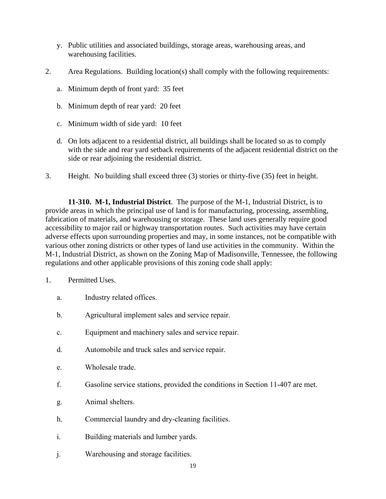- y. Public utilities and associated buildings, storage areas, warehousing areas, and warehousing facilities.
- 2. Area Regulations. Building location(s) shall comply with the following requirements:
	- a. Minimum depth of front yard: 35 feet
	- b. Minimum depth of rear yard: 20 feet
	- c. Minimum width of side yard: 10 feet
	- d. On lots adjacent to a residential district, all buildings shall be located so as to comply with the side and rear yard setback requirements of the adjacent residential district on the side or rear adjoining the residential district.
- 3. Height. No building shall exceed three (3) stories or thirty-five (35) feet in height.

**11-310. M-1, Industrial District**. The purpose of the M-1, Industrial District, is to provide areas in which the principal use of land is for manufacturing, processing, assembling, fabrication of materials, and warehousing or storage. These land uses generally require good accessibility to major rail or highway transportation routes. Such activities may have certain adverse effects upon surrounding properties and may, in some instances, not be compatible with various other zoning districts or other types of land use activities in the community. Within the M-1, Industrial District, as shown on the Zoning Map of Madisonville, Tennessee, the following regulations and other applicable provisions of this zoning code shall apply:

- 1. Permitted Uses.
	- a. Industry related offices.
	- b. Agricultural implement sales and service repair.
	- c. Equipment and machinery sales and service repair.
	- d. Automobile and truck sales and service repair.
	- e. Wholesale trade.
	- f. Gasoline service stations, provided the conditions in Section 11-407 are met.
	- g. Animal shelters.
	- h. Commercial laundry and dry-cleaning facilities.
	- i. Building materials and lumber yards.
	- j. Warehousing and storage facilities.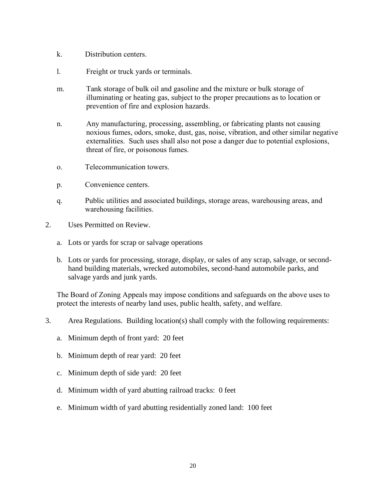- k. Distribution centers.
- l. Freight or truck yards or terminals.
- m. Tank storage of bulk oil and gasoline and the mixture or bulk storage of illuminating or heating gas, subject to the proper precautions as to location or prevention of fire and explosion hazards.
- n. Any manufacturing, processing, assembling, or fabricating plants not causing noxious fumes, odors, smoke, dust, gas, noise, vibration, and other similar negative externalities. Such uses shall also not pose a danger due to potential explosions, threat of fire, or poisonous fumes.
- o. Telecommunication towers.
- p. Convenience centers.
- q. Public utilities and associated buildings, storage areas, warehousing areas, and warehousing facilities.
- 2. Uses Permitted on Review.
	- a. Lots or yards for scrap or salvage operations
	- b. Lots or yards for processing, storage, display, or sales of any scrap, salvage, or secondhand building materials, wrecked automobiles, second-hand automobile parks, and salvage yards and junk yards.

The Board of Zoning Appeals may impose conditions and safeguards on the above uses to protect the interests of nearby land uses, public health, safety, and welfare.

- 3. Area Regulations. Building location(s) shall comply with the following requirements:
	- a. Minimum depth of front yard: 20 feet
	- b. Minimum depth of rear yard: 20 feet
	- c. Minimum depth of side yard: 20 feet
	- d. Minimum width of yard abutting railroad tracks: 0 feet
	- e. Minimum width of yard abutting residentially zoned land: 100 feet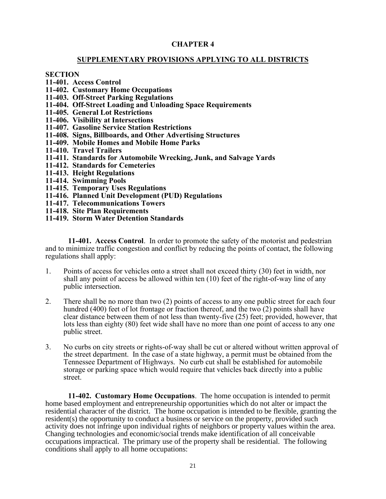# **CHAPTER 4**

## **SUPPLEMENTARY PROVISIONS APPLYING TO ALL DISTRICTS**

#### **SECTION**

- **11-401. Access Control**
- **11-402. Customary Home Occupations**
- **11-403. Off-Street Parking Regulations**
- **11-404. Off-Street Loading and Unloading Space Requirements**
- **11-405. General Lot Restrictions**
- **11-406. Visibility at Intersections**
- **11-407. Gasoline Service Station Restrictions**
- **11-408. Signs, Billboards, and Other Advertising Structures**
- **11-409. Mobile Homes and Mobile Home Parks**
- **11-410. Travel Trailers**
- **11-411. Standards for Automobile Wrecking, Junk, and Salvage Yards**
- **11-412. Standards for Cemeteries**
- **11-413. Height Regulations**
- **11-414. Swimming Pools**
- **11-415. Temporary Uses Regulations**
- **11-416. Planned Unit Development (PUD) Regulations**
- **11-417. Telecommunications Towers**
- **11-418. Site Plan Requirements**
- **11-419. Storm Water Detention Standards**

**11-401. Access Control**. In order to promote the safety of the motorist and pedestrian and to minimize traffic congestion and conflict by reducing the points of contact, the following regulations shall apply:

- 1. Points of access for vehicles onto a street shall not exceed thirty (30) feet in width, nor shall any point of access be allowed within ten (10) feet of the right-of-way line of any public intersection.
- 2. There shall be no more than two (2) points of access to any one public street for each four hundred (400) feet of lot frontage or fraction thereof, and the two (2) points shall have clear distance between them of not less than twenty-five (25) feet; provided, however, that lots less than eighty (80) feet wide shall have no more than one point of access to any one public street.
- 3. No curbs on city streets or rights-of-way shall be cut or altered without written approval of the street department. In the case of a state highway, a permit must be obtained from the Tennessee Department of Highways. No curb cut shall be established for automobile storage or parking space which would require that vehicles back directly into a public street.

**11-402. Customary Home Occupations**. The home occupation is intended to permit home based employment and entrepreneurship opportunities which do not alter or impact the residential character of the district. The home occupation is intended to be flexible, granting the resident(s) the opportunity to conduct a business or service on the property, provided such activity does not infringe upon individual rights of neighbors or property values within the area. Changing technologies and economic/social trends make identification of all conceivable occupations impractical. The primary use of the property shall be residential. The following conditions shall apply to all home occupations: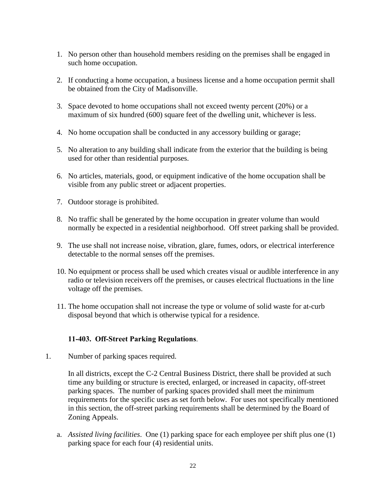- 1. No person other than household members residing on the premises shall be engaged in such home occupation.
- 2. If conducting a home occupation, a business license and a home occupation permit shall be obtained from the City of Madisonville.
- 3. Space devoted to home occupations shall not exceed twenty percent (20%) or a maximum of six hundred (600) square feet of the dwelling unit, whichever is less.
- 4. No home occupation shall be conducted in any accessory building or garage;
- 5. No alteration to any building shall indicate from the exterior that the building is being used for other than residential purposes.
- 6. No articles, materials, good, or equipment indicative of the home occupation shall be visible from any public street or adjacent properties.
- 7. Outdoor storage is prohibited.
- 8. No traffic shall be generated by the home occupation in greater volume than would normally be expected in a residential neighborhood. Off street parking shall be provided.
- 9. The use shall not increase noise, vibration, glare, fumes, odors, or electrical interference detectable to the normal senses off the premises.
- 10. No equipment or process shall be used which creates visual or audible interference in any radio or television receivers off the premises, or causes electrical fluctuations in the line voltage off the premises.
- 11. The home occupation shall not increase the type or volume of solid waste for at-curb disposal beyond that which is otherwise typical for a residence.

# **11-403. Off-Street Parking Regulations**.

1. Number of parking spaces required.

In all districts, except the C-2 Central Business District, there shall be provided at such time any building or structure is erected, enlarged, or increased in capacity, off-street parking spaces. The number of parking spaces provided shall meet the minimum requirements for the specific uses as set forth below. For uses not specifically mentioned in this section, the off-street parking requirements shall be determined by the Board of Zoning Appeals.

a. *Assisted living facilities*. One (1) parking space for each employee per shift plus one (1) parking space for each four (4) residential units.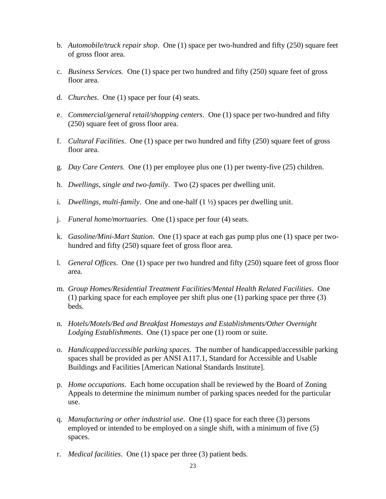- b. *Automobile/truck repair shop*. One (1) space per two-hundred and fifty (250) square feet of gross floor area.
- c. *Business Services.* One (1) space per two hundred and fifty (250) square feet of gross floor area.
- d. *Churches*. One (1) space per four (4) seats.
- e. *Commercial/general retail/shopping centers*. One (1) space per two-hundred and fifty (250) square feet of gross floor area.
- f. *Cultural Facilities*. One (1) space per two hundred and fifty (250) square feet of gross floor area.
- g. *Day Care Centers*. One (1) per employee plus one (1) per twenty-five (25) children.
- h. *Dwellings, single and two-family*. Two (2) spaces per dwelling unit.
- i. *Dwellings, multi-family*. One and one-half (1 ½) spaces per dwelling unit.
- j. *Funeral home/mortuaries*. One (1) space per four (4) seats.
- k. *Gasoline/Mini-Mart Station*. One (1) space at each gas pump plus one (1) space per twohundred and fifty (250) square feet of gross floor area.
- l. *General Offices*. One (1) space per two hundred and fifty (250) square feet of gross floor area.
- m. *Group Homes/Residential Treatment Facilities/Mental Health Related Facilities*. One (1) parking space for each employee per shift plus one (1) parking space per three (3) beds.
- n. *Hotels/Motels/Bed and Breakfast Homestays and Establishments/Other Overnight Lodging Establishments*. One (1) space per one (1) room or suite.
- o. *Handicapped/accessible parking spaces*. The number of handicapped/accessible parking spaces shall be provided as per ANSI A117.1, Standard for Accessible and Usable Buildings and Facilities [American National Standards Institute].
- p. *Home occupations*. Each home occupation shall be reviewed by the Board of Zoning Appeals to determine the minimum number of parking spaces needed for the particular use.
- q. *Manufacturing or other industrial use*. One (1) space for each three (3) persons employed or intended to be employed on a single shift, with a minimum of five (5) spaces.
- r. *Medical facilities*. One (1) space per three (3) patient beds.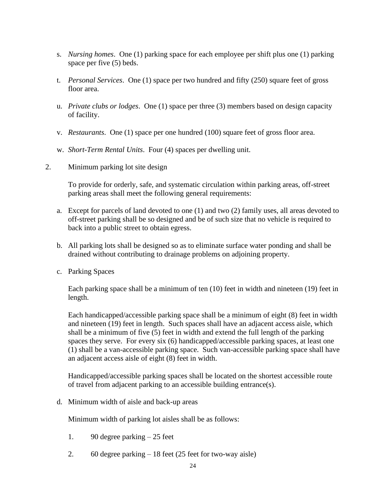- s. *Nursing homes*. One (1) parking space for each employee per shift plus one (1) parking space per five (5) beds.
- t. *Personal Services*. One (1) space per two hundred and fifty (250) square feet of gross floor area.
- u. *Private clubs or lodges*. One (1) space per three (3) members based on design capacity of facility.
- v. *Restaurants*. One (1) space per one hundred (100) square feet of gross floor area.
- w. *Short-Term Rental Units*. Four (4) spaces per dwelling unit.
- 2. Minimum parking lot site design

To provide for orderly, safe, and systematic circulation within parking areas, off-street parking areas shall meet the following general requirements:

- a. Except for parcels of land devoted to one (1) and two (2) family uses, all areas devoted to off-street parking shall be so designed and be of such size that no vehicle is required to back into a public street to obtain egress.
- b. All parking lots shall be designed so as to eliminate surface water ponding and shall be drained without contributing to drainage problems on adjoining property.
- c. Parking Spaces

Each parking space shall be a minimum of ten (10) feet in width and nineteen (19) feet in length.

Each handicapped/accessible parking space shall be a minimum of eight (8) feet in width and nineteen (19) feet in length. Such spaces shall have an adjacent access aisle, which shall be a minimum of five (5) feet in width and extend the full length of the parking spaces they serve. For every six (6) handicapped/accessible parking spaces, at least one (1) shall be a van-accessible parking space. Such van-accessible parking space shall have an adjacent access aisle of eight (8) feet in width.

Handicapped/accessible parking spaces shall be located on the shortest accessible route of travel from adjacent parking to an accessible building entrance(s).

d. Minimum width of aisle and back-up areas

Minimum width of parking lot aisles shall be as follows:

- 1. 90 degree parking 25 feet
- 2. 60 degree parking 18 feet (25 feet for two-way aisle)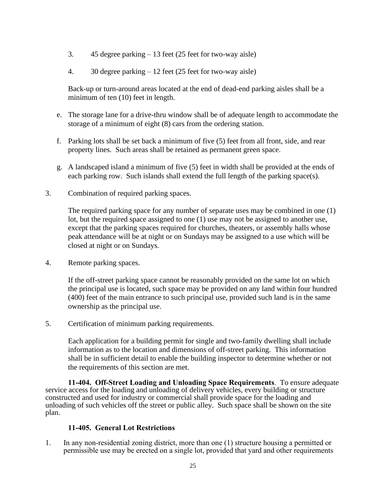- 3. 45 degree parking 13 feet (25 feet for two-way aisle)
- 4. 30 degree parking 12 feet (25 feet for two-way aisle)

Back-up or turn-around areas located at the end of dead-end parking aisles shall be a minimum of ten (10) feet in length.

- e. The storage lane for a drive-thru window shall be of adequate length to accommodate the storage of a minimum of eight (8) cars from the ordering station.
- f. Parking lots shall be set back a minimum of five (5) feet from all front, side, and rear property lines. Such areas shall be retained as permanent green space.
- g. A landscaped island a minimum of five (5) feet in width shall be provided at the ends of each parking row. Such islands shall extend the full length of the parking space(s).
- 3. Combination of required parking spaces.

The required parking space for any number of separate uses may be combined in one (1) lot, but the required space assigned to one (1) use may not be assigned to another use, except that the parking spaces required for churches, theaters, or assembly halls whose peak attendance will be at night or on Sundays may be assigned to a use which will be closed at night or on Sundays.

4. Remote parking spaces.

If the off-street parking space cannot be reasonably provided on the same lot on which the principal use is located, such space may be provided on any land within four hundred (400) feet of the main entrance to such principal use, provided such land is in the same ownership as the principal use.

5. Certification of minimum parking requirements.

Each application for a building permit for single and two-family dwelling shall include information as to the location and dimensions of off-street parking. This information shall be in sufficient detail to enable the building inspector to determine whether or not the requirements of this section are met.

**11-404. Off-Street Loading and Unloading Space Requirements**. To ensure adequate service access for the loading and unloading of delivery vehicles, every building or structure constructed and used for industry or commercial shall provide space for the loading and unloading of such vehicles off the street or public alley. Such space shall be shown on the site plan.

# **11-405. General Lot Restrictions**

1. In any non-residential zoning district, more than one (1) structure housing a permitted or permissible use may be erected on a single lot, provided that yard and other requirements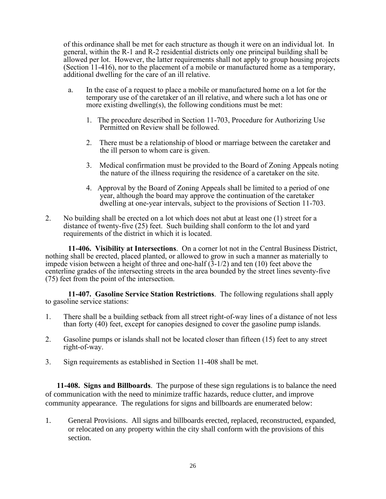of this ordinance shall be met for each structure as though it were on an individual lot. In general, within the R-1 and R-2 residential districts only one principal building shall be allowed per lot. However, the latter requirements shall not apply to group housing projects (Section 11-416), nor to the placement of a mobile or manufactured home as a temporary, additional dwelling for the care of an ill relative.

- a. In the case of a request to place a mobile or manufactured home on a lot for the temporary use of the caretaker of an ill relative, and where such a lot has one or more existing dwelling(s), the following conditions must be met:
	- 1. The procedure described in Section 11-703, Procedure for Authorizing Use Permitted on Review shall be followed.
	- 2. There must be a relationship of blood or marriage between the caretaker and the ill person to whom care is given.
	- 3. Medical confirmation must be provided to the Board of Zoning Appeals noting the nature of the illness requiring the residence of a caretaker on the site.
	- 4. Approval by the Board of Zoning Appeals shall be limited to a period of one year, although the board may approve the continuation of the caretaker dwelling at one-year intervals, subject to the provisions of Section 11-703.
- 2. No building shall be erected on a lot which does not abut at least one (1) street for a distance of twenty-five (25) feet. Such building shall conform to the lot and yard requirements of the district in which it is located.

**11-406. Visibility at Intersections**. On a corner lot not in the Central Business District, nothing shall be erected, placed planted, or allowed to grow in such a manner as materially to impede vision between a height of three and one-half  $(3-1/2)$  and ten (10) feet above the centerline grades of the intersecting streets in the area bounded by the street lines seventy-five (75) feet from the point of the intersection.

**11-407. Gasoline Service Station Restrictions**. The following regulations shall apply to gasoline service stations:

- 1. There shall be a building setback from all street right-of-way lines of a distance of not less than forty (40) feet, except for canopies designed to cover the gasoline pump islands.
- 2. Gasoline pumps or islands shall not be located closer than fifteen (15) feet to any street right-of-way.
- 3. Sign requirements as established in Section 11-408 shall be met.

**11-408. Signs and Billboards**. The purpose of these sign regulations is to balance the need of communication with the need to minimize traffic hazards, reduce clutter, and improve community appearance. The regulations for signs and billboards are enumerated below:

1. General Provisions. All signs and billboards erected, replaced, reconstructed, expanded, or relocated on any property within the city shall conform with the provisions of this section.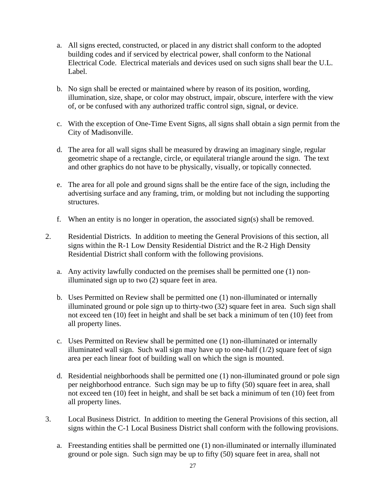- a. All signs erected, constructed, or placed in any district shall conform to the adopted building codes and if serviced by electrical power, shall conform to the National Electrical Code. Electrical materials and devices used on such signs shall bear the U.L. Label.
- b. No sign shall be erected or maintained where by reason of its position, wording, illumination, size, shape, or color may obstruct, impair, obscure, interfere with the view of, or be confused with any authorized traffic control sign, signal, or device.
- c. With the exception of One-Time Event Signs, all signs shall obtain a sign permit from the City of Madisonville.
- d. The area for all wall signs shall be measured by drawing an imaginary single, regular geometric shape of a rectangle, circle, or equilateral triangle around the sign. The text and other graphics do not have to be physically, visually, or topically connected.
- e. The area for all pole and ground signs shall be the entire face of the sign, including the advertising surface and any framing, trim, or molding but not including the supporting structures.
- f. When an entity is no longer in operation, the associated sign(s) shall be removed.
- 2. Residential Districts. In addition to meeting the General Provisions of this section, all signs within the R-1 Low Density Residential District and the R-2 High Density Residential District shall conform with the following provisions.
	- a. Any activity lawfully conducted on the premises shall be permitted one (1) nonilluminated sign up to two (2) square feet in area.
	- b. Uses Permitted on Review shall be permitted one (1) non-illuminated or internally illuminated ground or pole sign up to thirty-two (32) square feet in area. Such sign shall not exceed ten (10) feet in height and shall be set back a minimum of ten (10) feet from all property lines.
	- c. Uses Permitted on Review shall be permitted one (1) non-illuminated or internally illuminated wall sign. Such wall sign may have up to one-half  $(1/2)$  square feet of sign area per each linear foot of building wall on which the sign is mounted.
	- d. Residential neighborhoods shall be permitted one (1) non-illuminated ground or pole sign per neighborhood entrance. Such sign may be up to fifty (50) square feet in area, shall not exceed ten (10) feet in height, and shall be set back a minimum of ten (10) feet from all property lines.
- 3. Local Business District. In addition to meeting the General Provisions of this section, all signs within the C-1 Local Business District shall conform with the following provisions.
	- a. Freestanding entities shall be permitted one (1) non-illuminated or internally illuminated ground or pole sign. Such sign may be up to fifty (50) square feet in area, shall not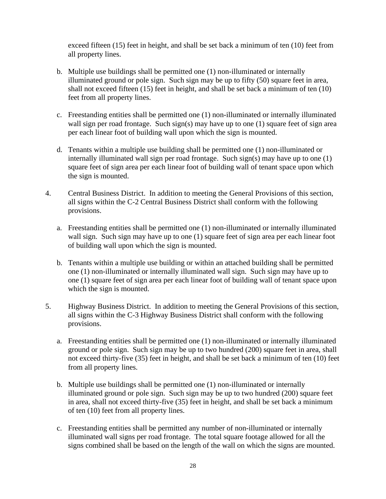exceed fifteen (15) feet in height, and shall be set back a minimum of ten (10) feet from all property lines.

- b. Multiple use buildings shall be permitted one (1) non-illuminated or internally illuminated ground or pole sign. Such sign may be up to fifty (50) square feet in area, shall not exceed fifteen (15) feet in height, and shall be set back a minimum of ten (10) feet from all property lines.
- c. Freestanding entities shall be permitted one (1) non-illuminated or internally illuminated wall sign per road frontage. Such sign(s) may have up to one  $(1)$  square feet of sign area per each linear foot of building wall upon which the sign is mounted.
- d. Tenants within a multiple use building shall be permitted one (1) non-illuminated or internally illuminated wall sign per road frontage. Such sign(s) may have up to one (1) square feet of sign area per each linear foot of building wall of tenant space upon which the sign is mounted.
- 4. Central Business District. In addition to meeting the General Provisions of this section, all signs within the C-2 Central Business District shall conform with the following provisions.
	- a. Freestanding entities shall be permitted one (1) non-illuminated or internally illuminated wall sign. Such sign may have up to one (1) square feet of sign area per each linear foot of building wall upon which the sign is mounted.
	- b. Tenants within a multiple use building or within an attached building shall be permitted one (1) non-illuminated or internally illuminated wall sign. Such sign may have up to one (1) square feet of sign area per each linear foot of building wall of tenant space upon which the sign is mounted.
- 5. Highway Business District. In addition to meeting the General Provisions of this section, all signs within the C-3 Highway Business District shall conform with the following provisions.
	- a. Freestanding entities shall be permitted one (1) non-illuminated or internally illuminated ground or pole sign. Such sign may be up to two hundred (200) square feet in area, shall not exceed thirty-five (35) feet in height, and shall be set back a minimum of ten (10) feet from all property lines.
	- b. Multiple use buildings shall be permitted one (1) non-illuminated or internally illuminated ground or pole sign. Such sign may be up to two hundred (200) square feet in area, shall not exceed thirty-five (35) feet in height, and shall be set back a minimum of ten (10) feet from all property lines.
	- c. Freestanding entities shall be permitted any number of non-illuminated or internally illuminated wall signs per road frontage. The total square footage allowed for all the signs combined shall be based on the length of the wall on which the signs are mounted.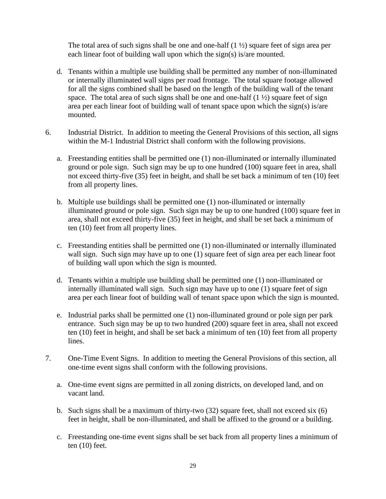The total area of such signs shall be one and one-half  $(1 \frac{1}{2})$  square feet of sign area per each linear foot of building wall upon which the sign(s) is/are mounted.

- d. Tenants within a multiple use building shall be permitted any number of non-illuminated or internally illuminated wall signs per road frontage. The total square footage allowed for all the signs combined shall be based on the length of the building wall of the tenant space. The total area of such signs shall be one and one-half  $(1 \frac{1}{2})$  square feet of sign area per each linear foot of building wall of tenant space upon which the sign(s) is/are mounted.
- 6. Industrial District. In addition to meeting the General Provisions of this section, all signs within the M-1 Industrial District shall conform with the following provisions.
	- a. Freestanding entities shall be permitted one (1) non-illuminated or internally illuminated ground or pole sign. Such sign may be up to one hundred (100) square feet in area, shall not exceed thirty-five (35) feet in height, and shall be set back a minimum of ten (10) feet from all property lines.
	- b. Multiple use buildings shall be permitted one (1) non-illuminated or internally illuminated ground or pole sign. Such sign may be up to one hundred (100) square feet in area, shall not exceed thirty-five (35) feet in height, and shall be set back a minimum of ten (10) feet from all property lines.
	- c. Freestanding entities shall be permitted one (1) non-illuminated or internally illuminated wall sign. Such sign may have up to one (1) square feet of sign area per each linear foot of building wall upon which the sign is mounted.
	- d. Tenants within a multiple use building shall be permitted one (1) non-illuminated or internally illuminated wall sign. Such sign may have up to one (1) square feet of sign area per each linear foot of building wall of tenant space upon which the sign is mounted.
	- e. Industrial parks shall be permitted one (1) non-illuminated ground or pole sign per park entrance. Such sign may be up to two hundred (200) square feet in area, shall not exceed ten (10) feet in height, and shall be set back a minimum of ten (10) feet from all property lines.
- 7. One-Time Event Signs. In addition to meeting the General Provisions of this section, all one-time event signs shall conform with the following provisions.
	- a. One-time event signs are permitted in all zoning districts, on developed land, and on vacant land.
	- b. Such signs shall be a maximum of thirty-two (32) square feet, shall not exceed six (6) feet in height, shall be non-illuminated, and shall be affixed to the ground or a building.
	- c. Freestanding one-time event signs shall be set back from all property lines a minimum of ten (10) feet.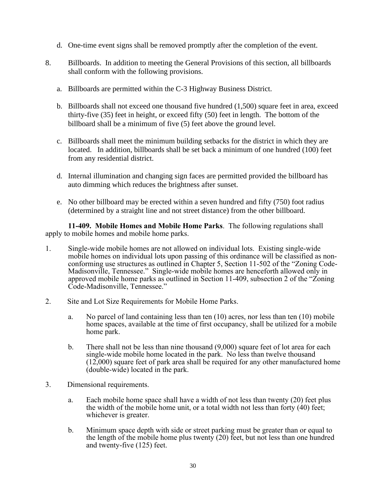- d. One-time event signs shall be removed promptly after the completion of the event.
- 8. Billboards. In addition to meeting the General Provisions of this section, all billboards shall conform with the following provisions.
	- a. Billboards are permitted within the C-3 Highway Business District.
	- b. Billboards shall not exceed one thousand five hundred (1,500) square feet in area, exceed thirty-five (35) feet in height, or exceed fifty (50) feet in length. The bottom of the billboard shall be a minimum of five (5) feet above the ground level.
	- c. Billboards shall meet the minimum building setbacks for the district in which they are located. In addition, billboards shall be set back a minimum of one hundred (100) feet from any residential district.
	- d. Internal illumination and changing sign faces are permitted provided the billboard has auto dimming which reduces the brightness after sunset.
	- e. No other billboard may be erected within a seven hundred and fifty (750) foot radius (determined by a straight line and not street distance) from the other billboard.

**11-409. Mobile Homes and Mobile Home Parks**. The following regulations shall apply to mobile homes and mobile home parks.

- 1. Single-wide mobile homes are not allowed on individual lots. Existing single-wide mobile homes on individual lots upon passing of this ordinance will be classified as nonconforming use structures as outlined in Chapter 5, Section 11-502 of the "Zoning Code-Madisonville, Tennessee." Single-wide mobile homes are henceforth allowed only in approved mobile home parks as outlined in Section 11-409, subsection 2 of the "Zoning Code-Madisonville, Tennessee."
- 2. Site and Lot Size Requirements for Mobile Home Parks.
	- a. No parcel of land containing less than ten (10) acres, nor less than ten (10) mobile home spaces, available at the time of first occupancy, shall be utilized for a mobile home park.
	- b. There shall not be less than nine thousand (9,000) square feet of lot area for each single-wide mobile home located in the park. No less than twelve thousand (12,000) square feet of park area shall be required for any other manufactured home (double-wide) located in the park.
- 3. Dimensional requirements.
	- a. Each mobile home space shall have a width of not less than twenty (20) feet plus the width of the mobile home unit, or a total width not less than forty (40) feet; whichever is greater.
	- b. Minimum space depth with side or street parking must be greater than or equal to the length of the mobile home plus twenty (20) feet, but not less than one hundred and twenty-five (125) feet.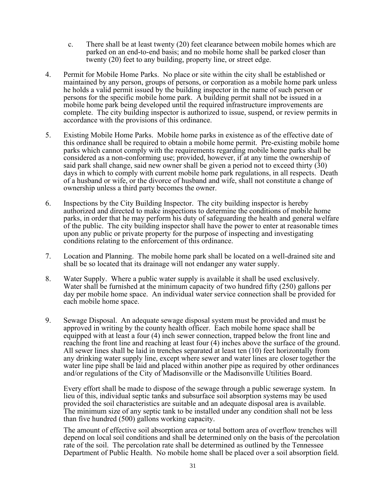- c. There shall be at least twenty (20) feet clearance between mobile homes which are parked on an end-to-end basis; and no mobile home shall be parked closer than twenty (20) feet to any building, property line, or street edge.
- 4. Permit for Mobile Home Parks. No place or site within the city shall be established or maintained by any person, groups of persons, or corporation as a mobile home park unless he holds a valid permit issued by the building inspector in the name of such person or persons for the specific mobile home park. A building permit shall not be issued in a mobile home park being developed until the required infrastructure improvements are complete. The city building inspector is authorized to issue, suspend, or review permits in accordance with the provisions of this ordinance.
- 5. Existing Mobile Home Parks. Mobile home parks in existence as of the effective date of this ordinance shall be required to obtain a mobile home permit. Pre-existing mobile home parks which cannot comply with the requirements regarding mobile home parks shall be considered as a non-conforming use; provided, however, if at any time the ownership of said park shall change, said new owner shall be given a period not to exceed thirty (30) days in which to comply with current mobile home park regulations, in all respects. Death of a husband or wife, or the divorce of husband and wife, shall not constitute a change of ownership unless a third party becomes the owner.
- 6. Inspections by the City Building Inspector. The city building inspector is hereby authorized and directed to make inspections to determine the conditions of mobile home parks, in order that he may perform his duty of safeguarding the health and general welfare of the public. The city building inspector shall have the power to enter at reasonable times upon any public or private property for the purpose of inspecting and investigating conditions relating to the enforcement of this ordinance.
- 7. Location and Planning. The mobile home park shall be located on a well-drained site and shall be so located that its drainage will not endanger any water supply.
- 8. Water Supply. Where a public water supply is available it shall be used exclusively. Water shall be furnished at the minimum capacity of two hundred fifty (250) gallons per day per mobile home space. An individual water service connection shall be provided for each mobile home space.
- 9. Sewage Disposal. An adequate sewage disposal system must be provided and must be approved in writing by the county health officer. Each mobile home space shall be equipped with at least a four (4) inch sewer connection, trapped below the front line and reaching the front line and reaching at least four (4) inches above the surface of the ground. All sewer lines shall be laid in trenches separated at least ten (10) feet horizontally from any drinking water supply line, except where sewer and water lines are closer together the water line pipe shall be laid and placed within another pipe as required by other ordinances and/or regulations of the City of Madisonville or the Madisonville Utilities Board.

Every effort shall be made to dispose of the sewage through a public sewerage system. In lieu of this, individual septic tanks and subsurface soil absorption systems may be used provided the soil characteristics are suitable and an adequate disposal area is available. The minimum size of any septic tank to be installed under any condition shall not be less than five hundred (500) gallons working capacity.

The amount of effective soil absorption area or total bottom area of overflow trenches will depend on local soil conditions and shall be determined only on the basis of the percolation rate of the soil. The percolation rate shall be determined as outlined by the Tennessee Department of Public Health. No mobile home shall be placed over a soil absorption field.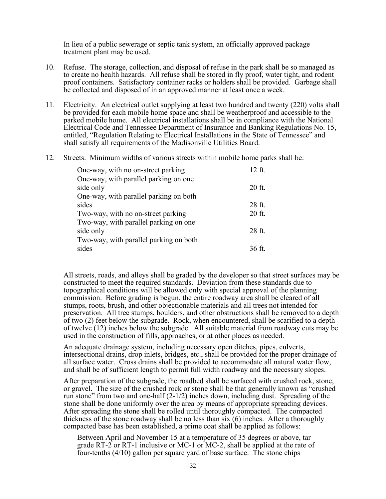In lieu of a public sewerage or septic tank system, an officially approved package treatment plant may be used.

- 10. Refuse. The storage, collection, and disposal of refuse in the park shall be so managed as to create no health hazards. All refuse shall be stored in fly proof, water tight, and rodent proof containers. Satisfactory container racks or holders shall be provided. Garbage shall be collected and disposed of in an approved manner at least once a week.
- 11. Electricity. An electrical outlet supplying at least two hundred and twenty (220) volts shall be provided for each mobile home space and shall be weatherproof and accessible to the parked mobile home. All electrical installations shall be in compliance with the National Electrical Code and Tennessee Department of Insurance and Banking Regulations No. 15, entitled, "Regulation Relating to Electrical Installations in the State of Tennessee" and shall satisfy all requirements of the Madisonville Utilities Board.
- 12. Streets. Minimum widths of various streets within mobile home parks shall be:

| One-way, with no on-street parking     | 12 ft. |
|----------------------------------------|--------|
| One-way, with parallel parking on one  |        |
| side only                              | 20 ft. |
| One-way, with parallel parking on both |        |
| sides                                  | 28 ft. |
| Two-way, with no on-street parking     | 20 ft. |
| Two-way, with parallel parking on one  |        |
| side only                              | 28 ft. |
| Two-way, with parallel parking on both |        |
| sides                                  | 36 ft. |

All streets, roads, and alleys shall be graded by the developer so that street surfaces may be constructed to meet the required standards. Deviation from these standards due to topographical conditions will be allowed only with special approval of the planning commission. Before grading is begun, the entire roadway area shall be cleared of all stumps, roots, brush, and other objectionable materials and all trees not intended for preservation. All tree stumps, boulders, and other obstructions shall be removed to a depth of two (2) feet below the subgrade. Rock, when encountered, shall be scarified to a depth of twelve (12) inches below the subgrade. All suitable material from roadway cuts may be used in the construction of fills, approaches, or at other places as needed.

An adequate drainage system, including necessary open ditches, pipes, culverts, intersectional drains, drop inlets, bridges, etc., shall be provided for the proper drainage of all surface water. Cross drains shall be provided to accommodate all natural water flow, and shall be of sufficient length to permit full width roadway and the necessary slopes.

After preparation of the subgrade, the roadbed shall be surfaced with crushed rock, stone, or gravel. The size of the crushed rock or stone shall be that generally known as "crushed run stone" from two and one-half  $(2-1/2)$  inches down, including dust. Spreading of the stone shall be done uniformly over the area by means of appropriate spreading devices. After spreading the stone shall be rolled until thoroughly compacted. The compacted thickness of the stone roadway shall be no less than six (6) inches. After a thoroughly compacted base has been established, a prime coat shall be applied as follows:

Between April and November 15 at a temperature of 35 degrees or above, tar grade RT-2 or RT-1 inclusive or MC-1 or MC-2, shall be applied at the rate of four-tenths  $(4/10)$  gallon per square yard of base surface. The stone chips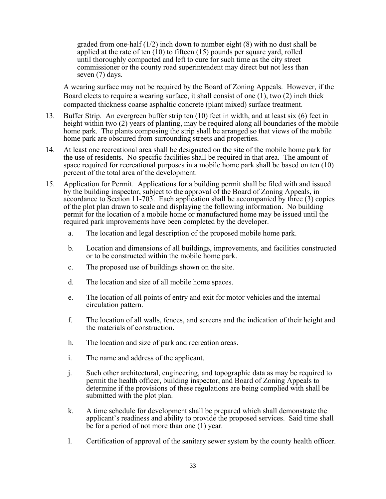graded from one-half  $(1/2)$  inch down to number eight  $(8)$  with no dust shall be applied at the rate of ten (10) to fifteen (15) pounds per square yard, rolled until thoroughly compacted and left to cure for such time as the city street commissioner or the county road superintendent may direct but not less than seven (7) days.

A wearing surface may not be required by the Board of Zoning Appeals. However, if the Board elects to require a wearing surface, it shall consist of one (1), two (2) inch thick compacted thickness coarse asphaltic concrete (plant mixed) surface treatment.

- 13. Buffer Strip. An evergreen buffer strip ten (10) feet in width, and at least six (6) feet in height within two (2) years of planting, may be required along all boundaries of the mobile home park. The plants composing the strip shall be arranged so that views of the mobile home park are obscured from surrounding streets and properties.
- 14. At least one recreational area shall be designated on the site of the mobile home park for the use of residents. No specific facilities shall be required in that area. The amount of space required for recreational purposes in a mobile home park shall be based on ten (10) percent of the total area of the development.
- 15. Application for Permit. Applications for a building permit shall be filed with and issued by the building inspector, subject to the approval of the Board of Zoning Appeals, in accordance to Section 11-703. Each application shall be accompanied by three (3) copies of the plot plan drawn to scale and displaying the following information. No building permit for the location of a mobile home or manufactured home may be issued until the required park improvements have been completed by the developer.
	- a. The location and legal description of the proposed mobile home park.
	- b. Location and dimensions of all buildings, improvements, and facilities constructed or to be constructed within the mobile home park.
	- c. The proposed use of buildings shown on the site.
	- d. The location and size of all mobile home spaces.
	- e. The location of all points of entry and exit for motor vehicles and the internal circulation pattern.
	- f. The location of all walls, fences, and screens and the indication of their height and the materials of construction.
	- h. The location and size of park and recreation areas.
	- i. The name and address of the applicant.
	- j. Such other architectural, engineering, and topographic data as may be required to permit the health officer, building inspector, and Board of Zoning Appeals to determine if the provisions of these regulations are being complied with shall be submitted with the plot plan.
	- k. A time schedule for development shall be prepared which shall demonstrate the applicant's readiness and ability to provide the proposed services. Said time shall be for a period of not more than one (1) year.
	- l. Certification of approval of the sanitary sewer system by the county health officer.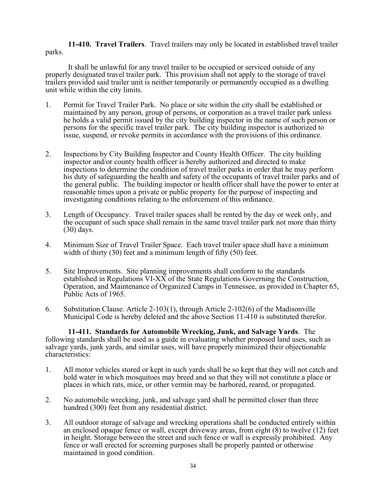**11-410. Travel Trailers**. Travel trailers may only be located in established travel trailer parks.

It shall be unlawful for any travel trailer to be occupied or serviced outside of any properly designated travel trailer park. This provision shall not apply to the storage of travel trailers provided said trailer unit is neither temporarily or permanently occupied as a dwelling unit while within the city limits.

- 1. Permit for Travel Trailer Park. No place or site within the city shall be established or maintained by any person, group of persons, or corporation as a travel trailer park unless he holds a valid permit issued by the city building inspector in the name of such person or persons for the specific travel trailer park. The city building inspector is authorized to issue, suspend, or revoke permits in accordance with the provisions of this ordinance.
- 2. Inspections by City Building Inspector and County Health Officer. The city building inspector and/or county health officer is hereby authorized and directed to make inspections to determine the condition of travel trailer parks in order that he may perform his duty of safeguarding the health and safety of the occupants of travel trailer parks and of the general public. The building inspector or health officer shall have the power to enter at reasonable times upon a private or public property for the purpose of inspecting and investigating conditions relating to the enforcement of this ordinance.
- 3. Length of Occupancy. Travel trailer spaces shall be rented by the day or week only, and the occupant of such space shall remain in the same travel trailer park not more than thirty (30) days.
- 4. Minimum Size of Travel Trailer Space. Each travel trailer space shall have a minimum width of thirty (30) feet and a minimum length of fifty (50) feet.
- 5. Site Improvements. Site planning improvements shall conform to the standards established in Regulations VI-XX of the State Regulations Governing the Construction, Operation, and Maintenance of Organized Camps in Tennessee, as provided in Chapter 65, Public Acts of 1965.
- 6. Substitution Clause. Article 2-103(1), through Article 2-102(6) of the Madisonville Municipal Code is hereby deleted and the above Section 11-410 is substituted therefor.

**11-411. Standards for Automobile Wrecking, Junk, and Salvage Yards**. The following standards shall be used as a guide in evaluating whether proposed land uses, such as salvage yards, junk yards, and similar uses, will have properly minimized their objectionable characteristics:

- 1. All motor vehicles stored or kept in such yards shall be so kept that they will not catch and hold water in which mosquitoes may breed and so that they will not constitute a place or places in which rats, mice, or other vermin may be harbored, reared, or propagated.
- 2. No automobile wrecking, junk, and salvage yard shall be permitted closer than three hundred (300) feet from any residential district.
- 3. All outdoor storage of salvage and wrecking operations shall be conducted entirely within an enclosed opaque fence or wall, except driveway areas, from eight (8) to twelve (12) feet in height. Storage between the street and such fence or wall is expressly prohibited. Any fence or wall erected for screening purposes shall be properly painted or otherwise maintained in good condition.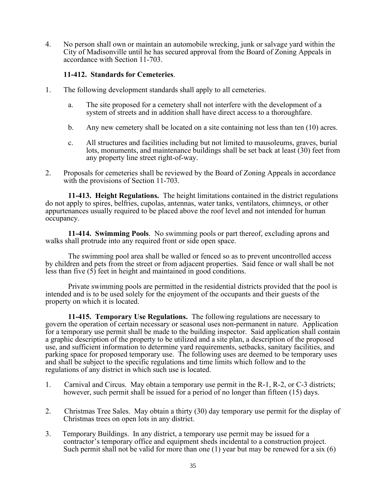4. No person shall own or maintain an automobile wrecking, junk or salvage yard within the City of Madisonville until he has secured approval from the Board of Zoning Appeals in accordance with Section 11-703.

# **11-412. Standards for Cemeteries**.

- 1. The following development standards shall apply to all cemeteries.
	- a. The site proposed for a cemetery shall not interfere with the development of a system of streets and in addition shall have direct access to a thoroughfare.
	- b. Any new cemetery shall be located on a site containing not less than ten (10) acres.
	- c. All structures and facilities including but not limited to mausoleums, graves, burial lots, monuments, and maintenance buildings shall be set back at least (30) feet from any property line street right-of-way.
- 2. Proposals for cemeteries shall be reviewed by the Board of Zoning Appeals in accordance with the provisions of Section 11-703.

**11-413. Height Regulations.** The height limitations contained in the district regulations do not apply to spires, belfries, cupolas, antennas, water tanks, ventilators, chimneys, or other appurtenances usually required to be placed above the roof level and not intended for human occupancy.

**11-414. Swimming Pools**. No swimming pools or part thereof, excluding aprons and walks shall protrude into any required front or side open space.

The swimming pool area shall be walled or fenced so as to prevent uncontrolled access by children and pets from the street or from adjacent properties. Said fence or wall shall be not less than five (5) feet in height and maintained in good conditions.

Private swimming pools are permitted in the residential districts provided that the pool is intended and is to be used solely for the enjoyment of the occupants and their guests of the property on which it is located.

**11-415. Temporary Use Regulations.** The following regulations are necessary to govern the operation of certain necessary or seasonal uses non-permanent in nature. Application for a temporary use permit shall be made to the building inspector. Said application shall contain a graphic description of the property to be utilized and a site plan, a description of the proposed use, and sufficient information to determine yard requirements, setbacks, sanitary facilities, and parking space for proposed temporary use. The following uses are deemed to be temporary uses and shall be subject to the specific regulations and time limits which follow and to the regulations of any district in which such use is located.

- 1. Carnival and Circus. May obtain a temporary use permit in the R-1, R-2, or C-3 districts; however, such permit shall be issued for a period of no longer than fifteen (15) days.
- 2. Christmas Tree Sales. May obtain a thirty (30) day temporary use permit for the display of Christmas trees on open lots in any district.
- 3. Temporary Buildings. In any district, a temporary use permit may be issued for a contractor's temporary office and equipment sheds incidental to a construction project. Such permit shall not be valid for more than one  $(1)$  year but may be renewed for a six  $(6)$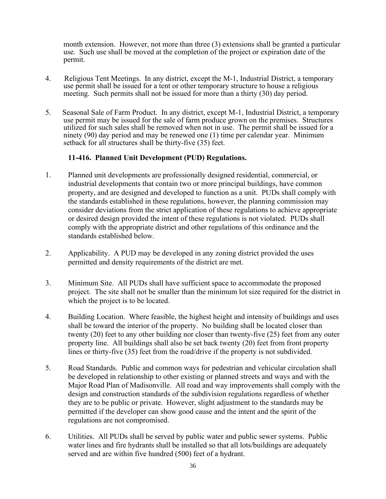month extension. However, not more than three (3) extensions shall be granted a particular use. Such use shall be moved at the completion of the project or expiration date of the permit.

- 4. Religious Tent Meetings. In any district, except the M-1, Industrial District, a temporary use permit shall be issued for a tent or other temporary structure to house a religious meeting. Such permits shall not be issued for more than a thirty (30) day period.
- 5. Seasonal Sale of Farm Product. In any district, except M-1, Industrial District, a temporary use permit may be issued for the sale of farm produce grown on the premises. Structures utilized for such sales shall be removed when not in use. The permit shall be issued for a ninety (90) day period and may be renewed one (1) time per calendar year. Minimum setback for all structures shall be thirty-five (35) feet.

# **11-416. Planned Unit Development (PUD) Regulations.**

- 1. Planned unit developments are professionally designed residential, commercial, or industrial developments that contain two or more principal buildings, have common property, and are designed and developed to function as a unit. PUDs shall comply with the standards established in these regulations, however, the planning commission may consider deviations from the strict application of these regulations to achieve appropriate or desired design provided the intent of these regulations is not violated. PUDs shall comply with the appropriate district and other regulations of this ordinance and the standards established below.
- 2. Applicability. A PUD may be developed in any zoning district provided the uses permitted and density requirements of the district are met.
- 3. Minimum Site. All PUDs shall have sufficient space to accommodate the proposed project. The site shall not be smaller than the minimum lot size required for the district in which the project is to be located.
- 4. Building Location. Where feasible, the highest height and intensity of buildings and uses shall be toward the interior of the property. No building shall be located closer than twenty (20) feet to any other building nor closer than twenty-five (25) feet from any outer property line. All buildings shall also be set back twenty (20) feet from front property lines or thirty-five (35) feet from the road/drive if the property is not subdivided.
- 5. Road Standards. Public and common ways for pedestrian and vehicular circulation shall be developed in relationship to other existing or planned streets and ways and with the Major Road Plan of Madisonville. All road and way improvements shall comply with the design and construction standards of the subdivision regulations regardless of whether they are to be public or private. However, slight adjustment to the standards may be permitted if the developer can show good cause and the intent and the spirit of the regulations are not compromised.
- 6. Utilities. All PUDs shall be served by public water and public sewer systems. Public water lines and fire hydrants shall be installed so that all lots/buildings are adequately served and are within five hundred (500) feet of a hydrant.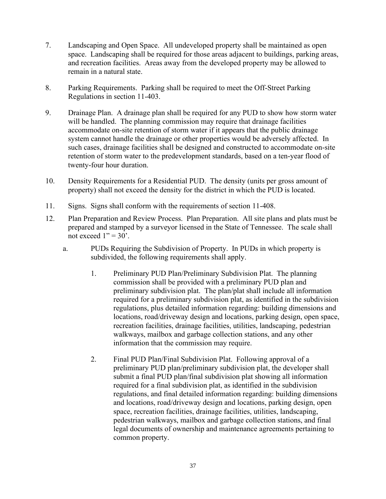- 7. Landscaping and Open Space. All undeveloped property shall be maintained as open space. Landscaping shall be required for those areas adjacent to buildings, parking areas, and recreation facilities. Areas away from the developed property may be allowed to remain in a natural state.
- 8. Parking Requirements. Parking shall be required to meet the Off-Street Parking Regulations in section 11-403.
- 9. Drainage Plan. A drainage plan shall be required for any PUD to show how storm water will be handled. The planning commission may require that drainage facilities accommodate on-site retention of storm water if it appears that the public drainage system cannot handle the drainage or other properties would be adversely affected. In such cases, drainage facilities shall be designed and constructed to accommodate on-site retention of storm water to the predevelopment standards, based on a ten-year flood of twenty-four hour duration.
- 10. Density Requirements for a Residential PUD. The density (units per gross amount of property) shall not exceed the density for the district in which the PUD is located.
- 11. Signs. Signs shall conform with the requirements of section 11-408.
- 12. Plan Preparation and Review Process. Plan Preparation. All site plans and plats must be prepared and stamped by a surveyor licensed in the State of Tennessee. The scale shall not exceed  $1" = 30'$ .
	- a. PUDs Requiring the Subdivision of Property. In PUDs in which property is subdivided, the following requirements shall apply.
		- 1. Preliminary PUD Plan/Preliminary Subdivision Plat. The planning commission shall be provided with a preliminary PUD plan and preliminary subdivision plat. The plan/plat shall include all information required for a preliminary subdivision plat, as identified in the subdivision regulations, plus detailed information regarding: building dimensions and locations, road/driveway design and locations, parking design, open space, recreation facilities, drainage facilities, utilities, landscaping, pedestrian walkways, mailbox and garbage collection stations, and any other information that the commission may require.
		- 2. Final PUD Plan/Final Subdivision Plat. Following approval of a preliminary PUD plan/preliminary subdivision plat, the developer shall submit a final PUD plan/final subdivision plat showing all information required for a final subdivision plat, as identified in the subdivision regulations, and final detailed information regarding: building dimensions and locations, road/driveway design and locations, parking design, open space, recreation facilities, drainage facilities, utilities, landscaping, pedestrian walkways, mailbox and garbage collection stations, and final legal documents of ownership and maintenance agreements pertaining to common property.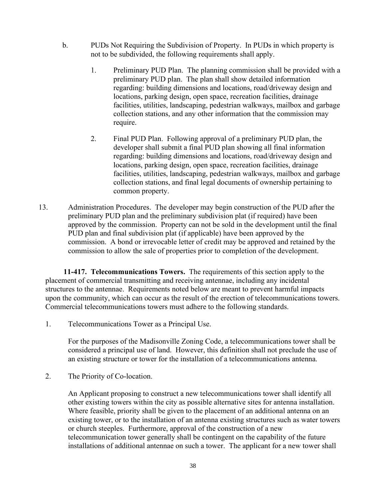- b. PUDs Not Requiring the Subdivision of Property. In PUDs in which property is not to be subdivided, the following requirements shall apply.
	- 1. Preliminary PUD Plan. The planning commission shall be provided with a preliminary PUD plan. The plan shall show detailed information regarding: building dimensions and locations, road/driveway design and locations, parking design, open space, recreation facilities, drainage facilities, utilities, landscaping, pedestrian walkways, mailbox and garbage collection stations, and any other information that the commission may require.
	- 2. Final PUD Plan. Following approval of a preliminary PUD plan, the developer shall submit a final PUD plan showing all final information regarding: building dimensions and locations, road/driveway design and locations, parking design, open space, recreation facilities, drainage facilities, utilities, landscaping, pedestrian walkways, mailbox and garbage collection stations, and final legal documents of ownership pertaining to common property.
- 13. Administration Procedures. The developer may begin construction of the PUD after the preliminary PUD plan and the preliminary subdivision plat (if required) have been approved by the commission. Property can not be sold in the development until the final PUD plan and final subdivision plat (if applicable) have been approved by the commission. A bond or irrevocable letter of credit may be approved and retained by the commission to allow the sale of properties prior to completion of the development.

**11-417. Telecommunications Towers.** The requirements of this section apply to the placement of commercial transmitting and receiving antennae, including any incidental structures to the antennae. Requirements noted below are meant to prevent harmful impacts upon the community, which can occur as the result of the erection of telecommunications towers. Commercial telecommunications towers must adhere to the following standards.

1. Telecommunications Tower as a Principal Use.

For the purposes of the Madisonville Zoning Code, a telecommunications tower shall be considered a principal use of land. However, this definition shall not preclude the use of an existing structure or tower for the installation of a telecommunications antenna.

2. The Priority of Co-location.

An Applicant proposing to construct a new telecommunications tower shall identify all other existing towers within the city as possible alternative sites for antenna installation. Where feasible, priority shall be given to the placement of an additional antenna on an existing tower, or to the installation of an antenna existing structures such as water towers or church steeples. Furthermore, approval of the construction of a new telecommunication tower generally shall be contingent on the capability of the future installations of additional antennae on such a tower. The applicant for a new tower shall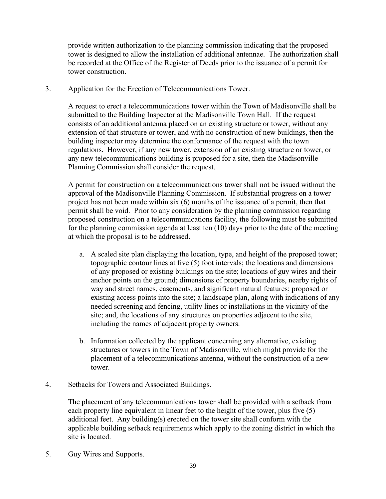provide written authorization to the planning commission indicating that the proposed tower is designed to allow the installation of additional antennae. The authorization shall be recorded at the Office of the Register of Deeds prior to the issuance of a permit for tower construction.

3. Application for the Erection of Telecommunications Tower.

A request to erect a telecommunications tower within the Town of Madisonville shall be submitted to the Building Inspector at the Madisonville Town Hall. If the request consists of an additional antenna placed on an existing structure or tower, without any extension of that structure or tower, and with no construction of new buildings, then the building inspector may determine the conformance of the request with the town regulations. However, if any new tower, extension of an existing structure or tower, or any new telecommunications building is proposed for a site, then the Madisonville Planning Commission shall consider the request.

A permit for construction on a telecommunications tower shall not be issued without the approval of the Madisonville Planning Commission. If substantial progress on a tower project has not been made within six (6) months of the issuance of a permit, then that permit shall be void. Prior to any consideration by the planning commission regarding proposed construction on a telecommunications facility, the following must be submitted for the planning commission agenda at least ten (10) days prior to the date of the meeting at which the proposal is to be addressed.

- a. A scaled site plan displaying the location, type, and height of the proposed tower; topographic contour lines at five (5) foot intervals; the locations and dimensions of any proposed or existing buildings on the site; locations of guy wires and their anchor points on the ground; dimensions of property boundaries, nearby rights of way and street names, easements, and significant natural features; proposed or existing access points into the site; a landscape plan, along with indications of any needed screening and fencing, utility lines or installations in the vicinity of the site; and, the locations of any structures on properties adjacent to the site, including the names of adjacent property owners.
- b. Information collected by the applicant concerning any alternative, existing structures or towers in the Town of Madisonville, which might provide for the placement of a telecommunications antenna, without the construction of a new tower.
- 4. Setbacks for Towers and Associated Buildings.

The placement of any telecommunications tower shall be provided with a setback from each property line equivalent in linear feet to the height of the tower, plus five (5) additional feet. Any building(s) erected on the tower site shall conform with the applicable building setback requirements which apply to the zoning district in which the site is located.

5. Guy Wires and Supports.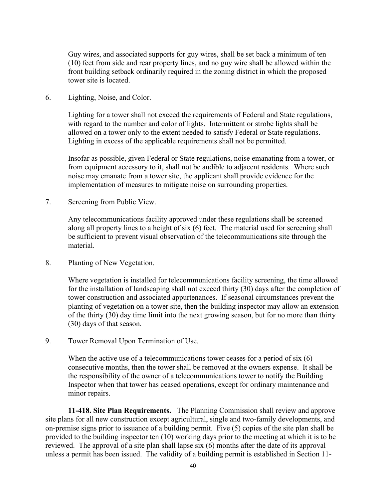Guy wires, and associated supports for guy wires, shall be set back a minimum of ten (10) feet from side and rear property lines, and no guy wire shall be allowed within the front building setback ordinarily required in the zoning district in which the proposed tower site is located.

6. Lighting, Noise, and Color.

Lighting for a tower shall not exceed the requirements of Federal and State regulations, with regard to the number and color of lights. Intermittent or strobe lights shall be allowed on a tower only to the extent needed to satisfy Federal or State regulations. Lighting in excess of the applicable requirements shall not be permitted.

Insofar as possible, given Federal or State regulations, noise emanating from a tower, or from equipment accessory to it, shall not be audible to adjacent residents. Where such noise may emanate from a tower site, the applicant shall provide evidence for the implementation of measures to mitigate noise on surrounding properties.

7. Screening from Public View.

Any telecommunications facility approved under these regulations shall be screened along all property lines to a height of six (6) feet. The material used for screening shall be sufficient to prevent visual observation of the telecommunications site through the material.

8. Planting of New Vegetation.

Where vegetation is installed for telecommunications facility screening, the time allowed for the installation of landscaping shall not exceed thirty (30) days after the completion of tower construction and associated appurtenances. If seasonal circumstances prevent the planting of vegetation on a tower site, then the building inspector may allow an extension of the thirty (30) day time limit into the next growing season, but for no more than thirty (30) days of that season.

9. Tower Removal Upon Termination of Use.

When the active use of a telecommunications tower ceases for a period of six (6) consecutive months, then the tower shall be removed at the owners expense. It shall be the responsibility of the owner of a telecommunications tower to notify the Building Inspector when that tower has ceased operations, except for ordinary maintenance and minor repairs.

**11-418. Site Plan Requirements.** The Planning Commission shall review and approve site plans for all new construction except agricultural, single and two-family developments, and on-premise signs prior to issuance of a building permit. Five (5) copies of the site plan shall be provided to the building inspector ten (10) working days prior to the meeting at which it is to be reviewed. The approval of a site plan shall lapse six (6) months after the date of its approval unless a permit has been issued. The validity of a building permit is established in Section 11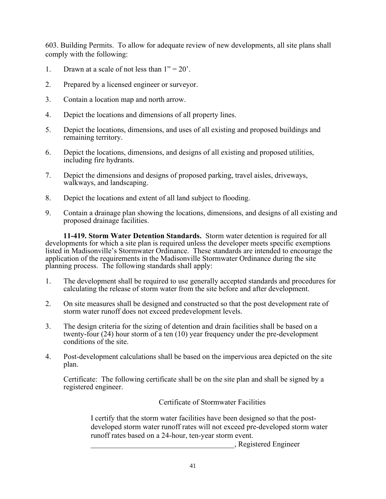603. Building Permits. To allow for adequate review of new developments, all site plans shall comply with the following:

- 1. Drawn at a scale of not less than  $1" = 20'$ .
- 2. Prepared by a licensed engineer or surveyor.
- 3. Contain a location map and north arrow.
- 4. Depict the locations and dimensions of all property lines.
- 5. Depict the locations, dimensions, and uses of all existing and proposed buildings and remaining territory.
- 6. Depict the locations, dimensions, and designs of all existing and proposed utilities, including fire hydrants.
- 7. Depict the dimensions and designs of proposed parking, travel aisles, driveways, walkways, and landscaping.
- 8. Depict the locations and extent of all land subject to flooding.
- 9. Contain a drainage plan showing the locations, dimensions, and designs of all existing and proposed drainage facilities.

**11-419. Storm Water Detention Standards.** Storm water detention is required for all developments for which a site plan is required unless the developer meets specific exemptions listed in Madisonville's Stormwater Ordinance. These standards are intended to encourage the application of the requirements in the Madisonville Stormwater Ordinance during the site planning process. The following standards shall apply:

- 1. The development shall be required to use generally accepted standards and procedures for calculating the release of storm water from the site before and after development.
- 2. On site measures shall be designed and constructed so that the post development rate of storm water runoff does not exceed predevelopment levels.
- 3. The design criteria for the sizing of detention and drain facilities shall be based on a twenty-four (24) hour storm of a ten (10) year frequency under the pre-development conditions of the site.
- 4. Post-development calculations shall be based on the impervious area depicted on the site plan.

Certificate: The following certificate shall be on the site plan and shall be signed by a registered engineer.

Certificate of Stormwater Facilities

I certify that the storm water facilities have been designed so that the postdeveloped storm water runoff rates will not exceed pre-developed storm water runoff rates based on a 24-hour, ten-year storm event.

\_\_\_\_\_\_\_\_\_\_\_\_\_\_\_\_\_\_\_\_\_\_\_\_\_\_\_\_\_\_\_\_\_\_\_\_\_\_, Registered Engineer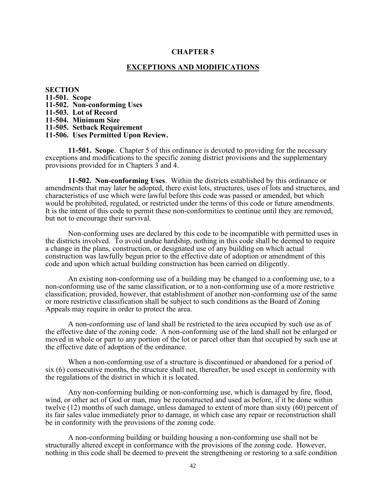#### **CHAPTER 5**

#### **EXCEPTIONS AND MODIFICATIONS**

**SECTION 11-501. Scope 11-502. Non-conforming Uses 11-503. Lot of Record 11-504. Minimum Size 11-505. Setback Requirement 11-506. Uses Permitted Upon Review.**

**11-501. Scope**. Chapter 5 of this ordinance is devoted to providing for the necessary exceptions and modifications to the specific zoning district provisions and the supplementary provisions provided for in Chapters 3 and 4.

**11-502. Non-conforming Uses**. Within the districts established by this ordinance or amendments that may later be adopted, there exist lots, structures, uses of lots and structures, and characteristics of use which were lawful before this code was passed or amended, but which would be prohibited, regulated, or restricted under the terms of this code or future amendments. It is the intent of this code to permit these non-conformities to continue until they are removed, but not to encourage their survival.

Non-conforming uses are declared by this code to be incompatible with permitted uses in the districts involved. To avoid undue hardship, nothing in this code shall be deemed to require a change in the plans, construction, or designated use of any building on which actual construction was lawfully begun prior to the effective date of adoption or amendment of this code and upon which actual building construction has been carried on diligently.

An existing non-conforming use of a building may be changed to a conforming use, to a non-conforming use of the same classification, or to a non-conforming use of a more restrictive classification; provided, however, that establishment of another non-conforming use of the same or more restrictive classification shall be subject to such conditions as the Board of Zoning Appeals may require in order to protect the area.

A non-conforming use of land shall be restricted to the area occupied by such use as of the effective date of the zoning code. A non-conforming use of the land shall not be enlarged or moved in whole or part to any portion of the lot or parcel other than that occupied by such use at the effective date of adoption of the ordinance.

When a non-conforming use of a structure is discontinued or abandoned for a period of six (6) consecutive months, the structure shall not, thereafter, be used except in conformity with the regulations of the district in which it is located.

Any non-conforming building or non-conforming use, which is damaged by fire, flood, wind, or other act of God or man, may be reconstructed and used as before, if it be done within twelve (12) months of such damage, unless damaged to extent of more than sixty (60) percent of its fair sales value immediately prior to damage, in which case any repair or reconstruction shall be in conformity with the provisions of the zoning code.

A non-conforming building or building housing a non-conforming use shall not be structurally altered except in conformance with the provisions of the zoning code. However, nothing in this code shall be deemed to prevent the strengthening or restoring to a safe condition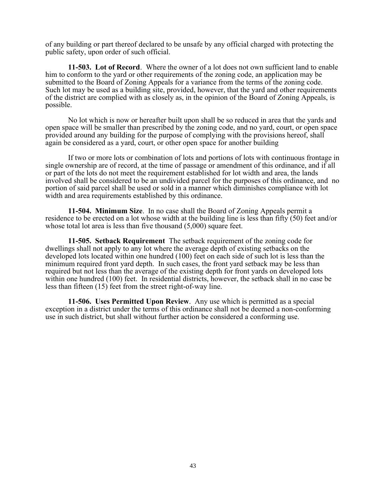of any building or part thereof declared to be unsafe by any official charged with protecting the public safety, upon order of such official.

**11-503. Lot of Record**. Where the owner of a lot does not own sufficient land to enable him to conform to the yard or other requirements of the zoning code, an application may be submitted to the Board of Zoning Appeals for a variance from the terms of the zoning code. Such lot may be used as a building site, provided, however, that the yard and other requirements of the district are complied with as closely as, in the opinion of the Board of Zoning Appeals, is possible.

No lot which is now or hereafter built upon shall be so reduced in area that the yards and open space will be smaller than prescribed by the zoning code, and no yard, court, or open space provided around any building for the purpose of complying with the provisions hereof, shall again be considered as a yard, court, or other open space for another building

If two or more lots or combination of lots and portions of lots with continuous frontage in single ownership are of record, at the time of passage or amendment of this ordinance, and if all or part of the lots do not meet the requirement established for lot width and area, the lands involved shall be considered to be an undivided parcel for the purposes of this ordinance, and no portion of said parcel shall be used or sold in a manner which diminishes compliance with lot width and area requirements established by this ordinance.

**11-504. Minimum Size**. In no case shall the Board of Zoning Appeals permit a residence to be erected on a lot whose width at the building line is less than fifty (50) feet and/or whose total lot area is less than five thousand  $(5,000)$  square feet.

**11-505. Setback Requirement** The setback requirement of the zoning code for dwellings shall not apply to any lot where the average depth of existing setbacks on the developed lots located within one hundred (100) feet on each side of such lot is less than the minimum required front yard depth. In such cases, the front yard setback may be less than required but not less than the average of the existing depth for front yards on developed lots within one hundred (100) feet. In residential districts, however, the setback shall in no case be less than fifteen (15) feet from the street right-of-way line.

**11-506. Uses Permitted Upon Review**. Any use which is permitted as a special exception in a district under the terms of this ordinance shall not be deemed a non-conforming use in such district, but shall without further action be considered a conforming use.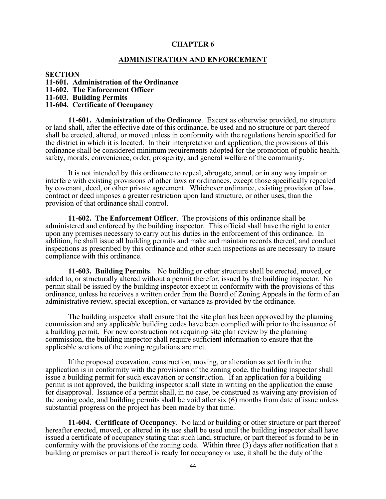#### **CHAPTER 6**

#### **ADMINISTRATION AND ENFORCEMENT**

**SECTION**

**11-601. Administration of the Ordinance**

**11-602. The Enforcement Officer**

**11-603. Building Permits**

**11-604. Certificate of Occupancy**

**11-601. Administration of the Ordinance**. Except as otherwise provided, no structure or land shall, after the effective date of this ordinance, be used and no structure or part thereof shall be erected, altered, or moved unless in conformity with the regulations herein specified for the district in which it is located. In their interpretation and application, the provisions of this ordinance shall be considered minimum requirements adopted for the promotion of public health, safety, morals, convenience, order, prosperity, and general welfare of the community.

It is not intended by this ordinance to repeal, abrogate, annul, or in any way impair or interfere with existing provisions of other laws or ordinances, except those specifically repealed by covenant, deed, or other private agreement. Whichever ordinance, existing provision of law, contract or deed imposes a greater restriction upon land structure, or other uses, than the provision of that ordinance shall control.

**11-602. The Enforcement Officer**. The provisions of this ordinance shall be administered and enforced by the building inspector. This official shall have the right to enter upon any premises necessary to carry out his duties in the enforcement of this ordinance. In addition, he shall issue all building permits and make and maintain records thereof, and conduct inspections as prescribed by this ordinance and other such inspections as are necessary to insure compliance with this ordinance.

**11-603. Building Permits**. No building or other structure shall be erected, moved, or added to, or structurally altered without a permit therefor, issued by the building inspector. No permit shall be issued by the building inspector except in conformity with the provisions of this ordinance, unless he receives a written order from the Board of Zoning Appeals in the form of an administrative review, special exception, or variance as provided by the ordinance.

The building inspector shall ensure that the site plan has been approved by the planning commission and any applicable building codes have been complied with prior to the issuance of a building permit. For new construction not requiring site plan review by the planning commission, the building inspector shall require sufficient information to ensure that the applicable sections of the zoning regulations are met.

If the proposed excavation, construction, moving, or alteration as set forth in the application is in conformity with the provisions of the zoning code, the building inspector shall issue a building permit for such excavation or construction. If an application for a building permit is not approved, the building inspector shall state in writing on the application the cause for disapproval. Issuance of a permit shall, in no case, be construed as waiving any provision of the zoning code, and building permits shall be void after six (6) months from date of issue unless substantial progress on the project has been made by that time.

**11-604. Certificate of Occupancy**. No land or building or other structure or part thereof hereafter erected, moved, or altered in its use shall be used until the building inspector shall have issued a certificate of occupancy stating that such land, structure, or part thereof is found to be in conformity with the provisions of the zoning code. Within three (3) days after notification that a building or premises or part thereof is ready for occupancy or use, it shall be the duty of the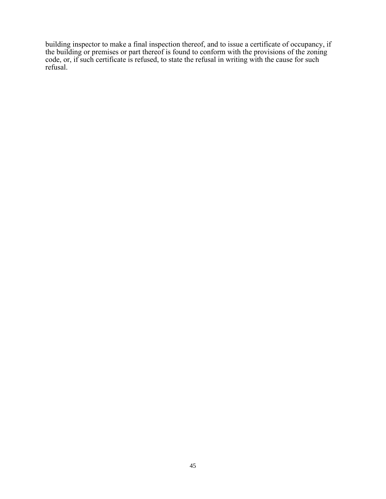building inspector to make a final inspection thereof, and to issue a certificate of occupancy, if the building or premises or part thereof is found to conform with the provisions of the zoning code, or, if such certificate is refused, to state the refusal in writing with the cause for such refusal.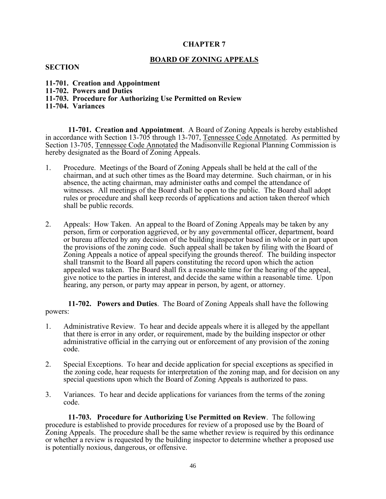# **CHAPTER 7**

# **BOARD OF ZONING APPEALS**

#### **SECTION**

- **11-701. Creation and Appointment**
- **11-702. Powers and Duties**
- **11-703. Procedure for Authorizing Use Permitted on Review**
- **11-704. Variances**

**11-701. Creation and Appointment**. A Board of Zoning Appeals is hereby established in accordance with Section 13-705 through 13-707, Tennessee Code Annotated. As permitted by Section 13-705, Tennessee Code Annotated the Madisonville Regional Planning Commission is hereby designated as the Board of Zoning Appeals.

- 1. Procedure. Meetings of the Board of Zoning Appeals shall be held at the call of the chairman, and at such other times as the Board may determine. Such chairman, or in his absence, the acting chairman, may administer oaths and compel the attendance of witnesses. All meetings of the Board shall be open to the public. The Board shall adopt rules or procedure and shall keep records of applications and action taken thereof which shall be public records.
- 2. Appeals: How Taken. An appeal to the Board of Zoning Appeals may be taken by any person, firm or corporation aggrieved, or by any governmental officer, department, board or bureau affected by any decision of the building inspector based in whole or in part upon the provisions of the zoning code. Such appeal shall be taken by filing with the Board of Zoning Appeals a notice of appeal specifying the grounds thereof. The building inspector shall transmit to the Board all papers constituting the record upon which the action appealed was taken. The Board shall fix a reasonable time for the hearing of the appeal, give notice to the parties in interest, and decide the same within a reasonable time. Upon hearing, any person, or party may appear in person, by agent, or attorney.

**11-702. Powers and Duties**. The Board of Zoning Appeals shall have the following powers:

- 1. Administrative Review. To hear and decide appeals where it is alleged by the appellant that there is error in any order, or requirement, made by the building inspector or other administrative official in the carrying out or enforcement of any provision of the zoning code.
- 2. Special Exceptions. To hear and decide application for special exceptions as specified in the zoning code, hear requests for interpretation of the zoning map, and for decision on any special questions upon which the Board of Zoning Appeals is authorized to pass.
- 3. Variances. To hear and decide applications for variances from the terms of the zoning code.

**11-703. Procedure for Authorizing Use Permitted on Review**. The following procedure is established to provide procedures for review of a proposed use by the Board of Zoning Appeals. The procedure shall be the same whether review is required by this ordinance or whether a review is requested by the building inspector to determine whether a proposed use is potentially noxious, dangerous, or offensive.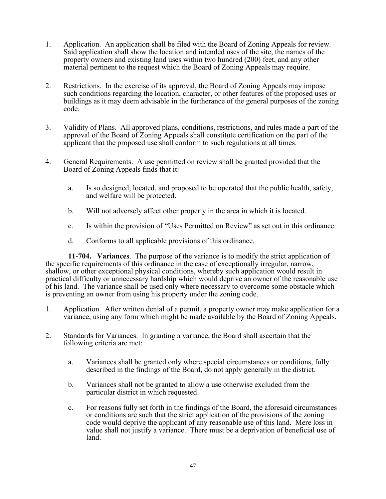- 1. Application. An application shall be filed with the Board of Zoning Appeals for review. Said application shall show the location and intended uses of the site, the names of the property owners and existing land uses within two hundred (200) feet, and any other material pertinent to the request which the Board of Zoning Appeals may require.
- 2. Restrictions. In the exercise of its approval, the Board of Zoning Appeals may impose such conditions regarding the location, character, or other features of the proposed uses or buildings as it may deem advisable in the furtherance of the general purposes of the zoning code.
- 3. Validity of Plans. All approved plans, conditions, restrictions, and rules made a part of the approval of the Board of Zoning Appeals shall constitute certification on the part of the applicant that the proposed use shall conform to such regulations at all times.
- 4. General Requirements. A use permitted on review shall be granted provided that the Board of Zoning Appeals finds that it:
	- a. Is so designed, located, and proposed to be operated that the public health, safety, and welfare will be protected.
	- b. Will not adversely affect other property in the area in which it is located.
	- c. Is within the provision of "Uses Permitted on Review" as set out in this ordinance.
	- d. Conforms to all applicable provisions of this ordinance.

**11-704. Variances**. The purpose of the variance is to modify the strict application of the specific requirements of this ordinance in the case of exceptionally irregular, narrow, shallow, or other exceptional physical conditions, whereby such application would result in practical difficulty or unnecessary hardship which would deprive an owner of the reasonable use of his land. The variance shall be used only where necessary to overcome some obstacle which is preventing an owner from using his property under the zoning code.

- 1. Application. After written denial of a permit, a property owner may make application for a variance, using any form which might be made available by the Board of Zoning Appeals.
- 2. Standards for Variances. In granting a variance, the Board shall ascertain that the following criteria are met:
	- a. Variances shall be granted only where special circumstances or conditions, fully described in the findings of the Board, do not apply generally in the district.
	- b. Variances shall not be granted to allow a use otherwise excluded from the particular district in which requested.
	- c. For reasons fully set forth in the findings of the Board, the aforesaid circumstances or conditions are such that the strict application of the provisions of the zoning code would deprive the applicant of any reasonable use of this land. Mere loss in value shall not justify a variance. There must be a deprivation of beneficial use of land.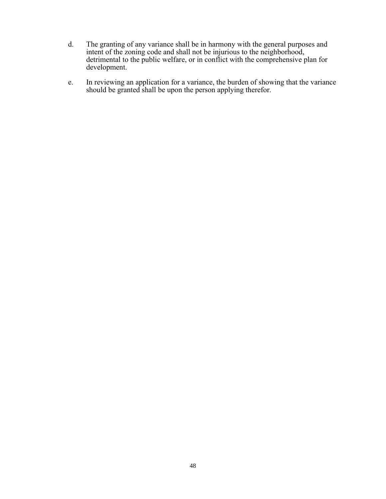- d. The granting of any variance shall be in harmony with the general purposes and intent of the zoning code and shall not be injurious to the neighborhood, detrimental to the public welfare, or in conflict with the comprehensive plan for development.
- e. In reviewing an application for a variance, the burden of showing that the variance should be granted shall be upon the person applying therefor.